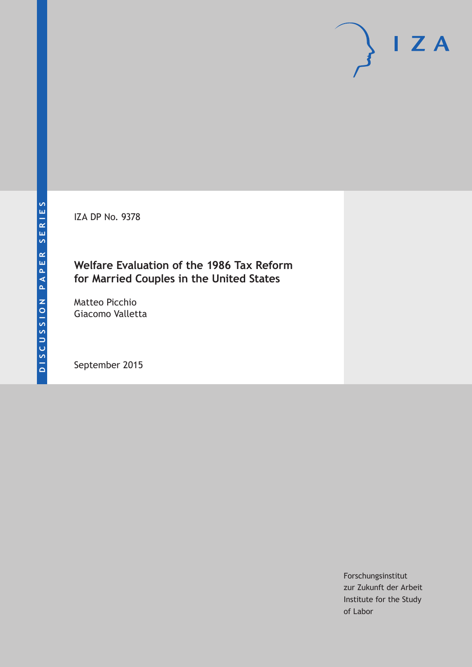IZA DP No. 9378

# **Welfare Evaluation of the 1986 Tax Reform for Married Couples in the United States**

Matteo Picchio Giacomo Valletta

September 2015

Forschungsinstitut zur Zukunft der Arbeit Institute for the Study of Labor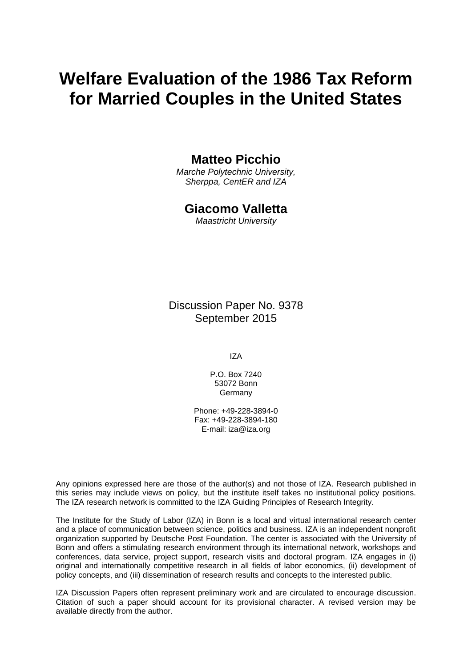# **Welfare Evaluation of the 1986 Tax Reform for Married Couples in the United States**

### **Matteo Picchio**

*Marche Polytechnic University, Sherppa, CentER and IZA* 

### **Giacomo Valletta**

*Maastricht University* 

Discussion Paper No. 9378 September 2015

IZA

P.O. Box 7240 53072 Bonn Germany

Phone: +49-228-3894-0 Fax: +49-228-3894-180 E-mail: iza@iza.org

Any opinions expressed here are those of the author(s) and not those of IZA. Research published in this series may include views on policy, but the institute itself takes no institutional policy positions. The IZA research network is committed to the IZA Guiding Principles of Research Integrity.

The Institute for the Study of Labor (IZA) in Bonn is a local and virtual international research center and a place of communication between science, politics and business. IZA is an independent nonprofit organization supported by Deutsche Post Foundation. The center is associated with the University of Bonn and offers a stimulating research environment through its international network, workshops and conferences, data service, project support, research visits and doctoral program. IZA engages in (i) original and internationally competitive research in all fields of labor economics, (ii) development of policy concepts, and (iii) dissemination of research results and concepts to the interested public.

IZA Discussion Papers often represent preliminary work and are circulated to encourage discussion. Citation of such a paper should account for its provisional character. A revised version may be available directly from the author.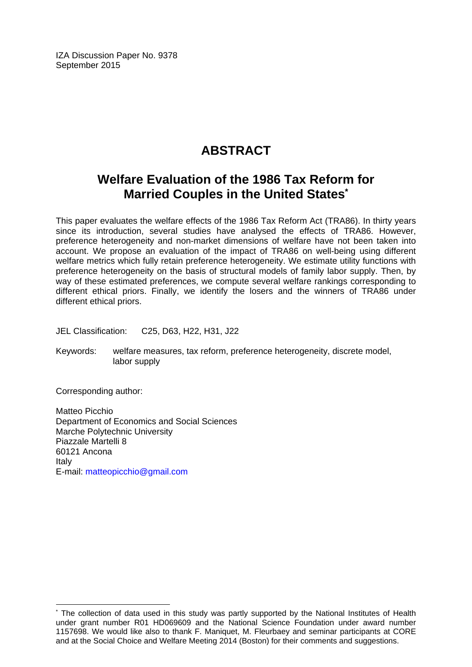IZA Discussion Paper No. 9378 September 2015

# **ABSTRACT**

# **Welfare Evaluation of the 1986 Tax Reform for Married Couples in the United States\***

This paper evaluates the welfare effects of the 1986 Tax Reform Act (TRA86). In thirty years since its introduction, several studies have analysed the effects of TRA86. However, preference heterogeneity and non-market dimensions of welfare have not been taken into account. We propose an evaluation of the impact of TRA86 on well-being using different welfare metrics which fully retain preference heterogeneity. We estimate utility functions with preference heterogeneity on the basis of structural models of family labor supply. Then, by way of these estimated preferences, we compute several welfare rankings corresponding to different ethical priors. Finally, we identify the losers and the winners of TRA86 under different ethical priors.

JEL Classification: C25, D63, H22, H31, J22

Keywords: welfare measures, tax reform, preference heterogeneity, discrete model, labor supply

Corresponding author:

 $\overline{a}$ 

Matteo Picchio Department of Economics and Social Sciences Marche Polytechnic University Piazzale Martelli 8 60121 Ancona Italy E-mail: matteopicchio@gmail.com

<sup>\*</sup> The collection of data used in this study was partly supported by the National Institutes of Health under grant number R01 HD069609 and the National Science Foundation under award number 1157698. We would like also to thank F. Maniquet, M. Fleurbaey and seminar participants at CORE and at the Social Choice and Welfare Meeting 2014 (Boston) for their comments and suggestions.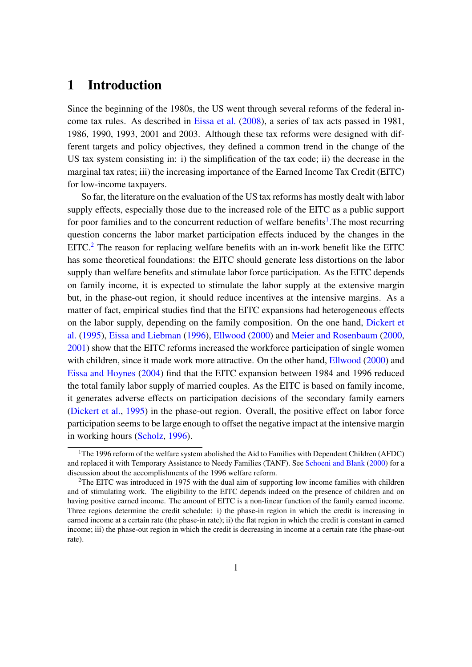# 1 Introduction

Since the beginning of the 1980s, the US went through several reforms of the federal income tax rules. As described in [Eissa et al.](#page-45-0) [\(2008\)](#page-45-0), a series of tax acts passed in 1981, 1986, 1990, 1993, 2001 and 2003. Although these tax reforms were designed with different targets and policy objectives, they defined a common trend in the change of the US tax system consisting in: i) the simplification of the tax code; ii) the decrease in the marginal tax rates; iii) the increasing importance of the Earned Income Tax Credit (EITC) for low-income taxpayers.

So far, the literature on the evaluation of the US tax reforms has mostly dealt with labor supply effects, especially those due to the increased role of the EITC as a public support for poor families and to the concurrent reduction of welfare benefits<sup>[1](#page-3-0)</sup>. The most recurring question concerns the labor market participation effects induced by the changes in the EITC.<sup>[2](#page-3-1)</sup> The reason for replacing welfare benefits with an in-work benefit like the EITC has some theoretical foundations: the EITC should generate less distortions on the labor supply than welfare benefits and stimulate labor force participation. As the EITC depends on family income, it is expected to stimulate the labor supply at the extensive margin but, in the phase-out region, it should reduce incentives at the intensive margins. As a matter of fact, empirical studies find that the EITC expansions had heterogeneous effects on the labor supply, depending on the family composition. On the one hand, [Dickert et](#page-45-1) [al.](#page-45-1) [\(1995\)](#page-45-1), [Eissa and Liebman](#page-45-2) [\(1996\)](#page-45-2), [Ellwood](#page-45-3) [\(2000\)](#page-45-3) and [Meier and Rosenbaum](#page-46-0) [\(2000,](#page-46-0) [2001\)](#page-46-1) show that the EITC reforms increased the workforce participation of single women with children, since it made work more attractive. On the other hand, [Ellwood](#page-45-3) [\(2000\)](#page-45-3) and [Eissa and Hoynes](#page-45-4) [\(2004\)](#page-45-4) find that the EITC expansion between 1984 and 1996 reduced the total family labor supply of married couples. As the EITC is based on family income, it generates adverse effects on participation decisions of the secondary family earners [\(Dickert et al.,](#page-45-1) [1995\)](#page-45-1) in the phase-out region. Overall, the positive effect on labor force participation seems to be large enough to offset the negative impact at the intensive margin in working hours [\(Scholz,](#page-46-2) [1996\)](#page-46-2).

<span id="page-3-0"></span><sup>&</sup>lt;sup>1</sup>The 1996 reform of the welfare system abolished the Aid to Families with Dependent Children (AFDC) and replaced it with Temporary Assistance to Needy Families (TANF). See [Schoeni and Blank](#page-46-3) [\(2000\)](#page-46-3) for a discussion about the accomplishments of the 1996 welfare reform.

<span id="page-3-1"></span><sup>&</sup>lt;sup>2</sup>The EITC was introduced in 1975 with the dual aim of supporting low income families with children and of stimulating work. The eligibility to the EITC depends indeed on the presence of children and on having positive earned income. The amount of EITC is a non-linear function of the family earned income. Three regions determine the credit schedule: i) the phase-in region in which the credit is increasing in earned income at a certain rate (the phase-in rate); ii) the flat region in which the credit is constant in earned income; iii) the phase-out region in which the credit is decreasing in income at a certain rate (the phase-out rate).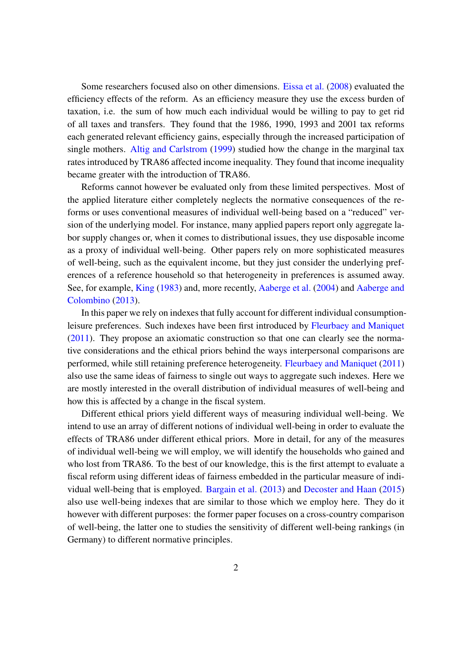Some researchers focused also on other dimensions. [Eissa et al.](#page-45-0) [\(2008\)](#page-45-0) evaluated the efficiency effects of the reform. As an efficiency measure they use the excess burden of taxation, i.e. the sum of how much each individual would be willing to pay to get rid of all taxes and transfers. They found that the 1986, 1990, 1993 and 2001 tax reforms each generated relevant efficiency gains, especially through the increased participation of single mothers. [Altig and Carlstrom](#page-44-0) [\(1999\)](#page-44-0) studied how the change in the marginal tax rates introduced by TRA86 affected income inequality. They found that income inequality became greater with the introduction of TRA86.

Reforms cannot however be evaluated only from these limited perspectives. Most of the applied literature either completely neglects the normative consequences of the reforms or uses conventional measures of individual well-being based on a "reduced" version of the underlying model. For instance, many applied papers report only aggregate labor supply changes or, when it comes to distributional issues, they use disposable income as a proxy of individual well-being. Other papers rely on more sophisticated measures of well-being, such as the equivalent income, but they just consider the underlying preferences of a reference household so that heterogeneity in preferences is assumed away. See, for example, [King](#page-45-5) [\(1983\)](#page-45-5) and, more recently, [Aaberge et al.](#page-44-1) [\(2004\)](#page-44-1) and [Aaberge and](#page-44-2) [Colombino](#page-44-2) [\(2013\)](#page-44-2).

In this paper we rely on indexes that fully account for different individual consumptionleisure preferences. Such indexes have been first introduced by [Fleurbaey and Maniquet](#page-45-6) [\(2011\)](#page-45-6). They propose an axiomatic construction so that one can clearly see the normative considerations and the ethical priors behind the ways interpersonal comparisons are performed, while still retaining preference heterogeneity. [Fleurbaey and Maniquet](#page-45-6) [\(2011\)](#page-45-6) also use the same ideas of fairness to single out ways to aggregate such indexes. Here we are mostly interested in the overall distribution of individual measures of well-being and how this is affected by a change in the fiscal system.

Different ethical priors yield different ways of measuring individual well-being. We intend to use an array of different notions of individual well-being in order to evaluate the effects of TRA86 under different ethical priors. More in detail, for any of the measures of individual well-being we will employ, we will identify the households who gained and who lost from TRA86. To the best of our knowledge, this is the first attempt to evaluate a fiscal reform using different ideas of fairness embedded in the particular measure of individual well-being that is employed. [Bargain et al.](#page-44-3) [\(2013\)](#page-44-3) and [Decoster and Haan](#page-45-7) [\(2015\)](#page-45-7) also use well-being indexes that are similar to those which we employ here. They do it however with different purposes: the former paper focuses on a cross-country comparison of well-being, the latter one to studies the sensitivity of different well-being rankings (in Germany) to different normative principles.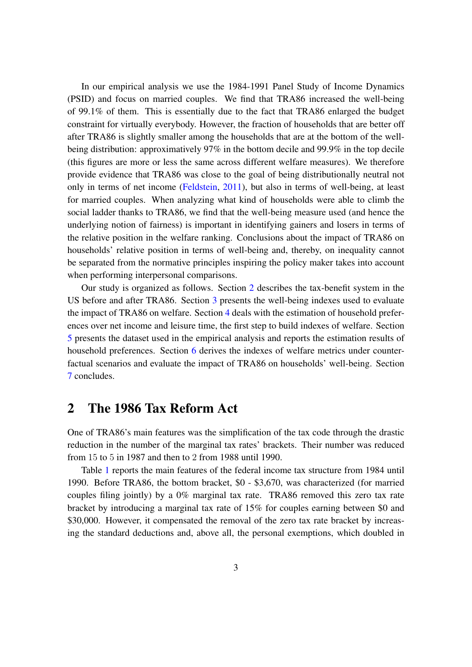In our empirical analysis we use the 1984-1991 Panel Study of Income Dynamics (PSID) and focus on married couples. We find that TRA86 increased the well-being of 99.1% of them. This is essentially due to the fact that TRA86 enlarged the budget constraint for virtually everybody. However, the fraction of households that are better off after TRA86 is slightly smaller among the households that are at the bottom of the wellbeing distribution: approximatively 97% in the bottom decile and 99.9% in the top decile (this figures are more or less the same across different welfare measures). We therefore provide evidence that TRA86 was close to the goal of being distributionally neutral not only in terms of net income [\(Feldstein,](#page-45-8) [2011\)](#page-45-8), but also in terms of well-being, at least for married couples. When analyzing what kind of households were able to climb the social ladder thanks to TRA86, we find that the well-being measure used (and hence the underlying notion of fairness) is important in identifying gainers and losers in terms of the relative position in the welfare ranking. Conclusions about the impact of TRA86 on households' relative position in terms of well-being and, thereby, on inequality cannot be separated from the normative principles inspiring the policy maker takes into account when performing interpersonal comparisons.

Our study is organized as follows. Section [2](#page-5-0) describes the tax-benefit system in the US before and after TRA86. Section [3](#page-7-0) presents the well-being indexes used to evaluate the impact of TRA86 on welfare. Section [4](#page-12-0) deals with the estimation of household preferences over net income and leisure time, the first step to build indexes of welfare. Section [5](#page-19-0) presents the dataset used in the empirical analysis and reports the estimation results of household preferences. Section [6](#page-28-0) derives the indexes of welfare metrics under counterfactual scenarios and evaluate the impact of TRA86 on households' well-being. Section [7](#page-36-0) concludes.

### <span id="page-5-0"></span>2 The 1986 Tax Reform Act

One of TRA86's main features was the simplification of the tax code through the drastic reduction in the number of the marginal tax rates' brackets. Their number was reduced from 15 to 5 in 1987 and then to 2 from 1988 until 1990.

Table [1](#page-6-0) reports the main features of the federal income tax structure from 1984 until 1990. Before TRA86, the bottom bracket, \$0 - \$3,670, was characterized (for married couples filing jointly) by a 0% marginal tax rate. TRA86 removed this zero tax rate bracket by introducing a marginal tax rate of 15% for couples earning between \$0 and \$30,000. However, it compensated the removal of the zero tax rate bracket by increasing the standard deductions and, above all, the personal exemptions, which doubled in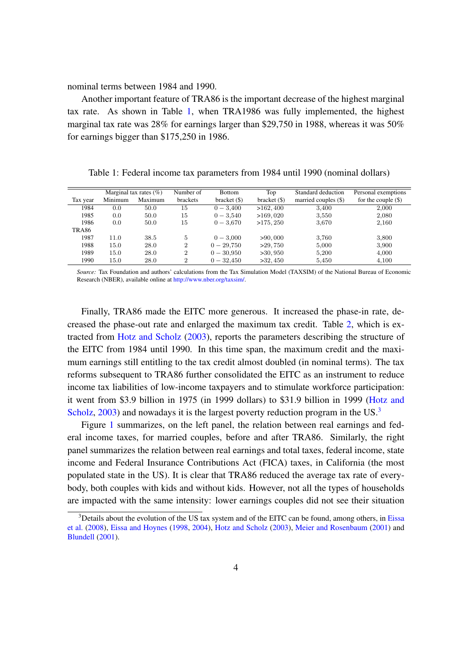nominal terms between 1984 and 1990.

Another important feature of TRA86 is the important decrease of the highest marginal tax rate. As shown in Table [1,](#page-6-0) when TRA1986 was fully implemented, the highest marginal tax rate was 28% for earnings larger than \$29,750 in 1988, whereas it was 50% for earnings bigger than \$175,250 in 1986.

<span id="page-6-0"></span>Table 1: Federal income tax parameters from 1984 until 1990 (nominal dollars)

|          |         | Marginal tax rates $(\% )$ | Number of      | <b>Bottom</b> | Top         | Standard deduction   | Personal exemptions   |
|----------|---------|----------------------------|----------------|---------------|-------------|----------------------|-----------------------|
| Tax year | Minimum | Maximum                    | brackets       | bracket (S)   | bracket (S) | married couples (\$) | for the couple $(\$)$ |
| 1984     | 0.0     | 50.0                       | 15             | $0 - 3.400$   | >162,400    | 3,400                | 2,000                 |
| 1985     | 0.0     | 50.0                       | 15             | $0 - 3.540$   | >169,020    | 3,550                | 2,080                 |
| 1986     | 0.0     | 50.0                       | 15             | $0 - 3.670$   | >175,250    | 3,670                | 2,160                 |
| TRA86    |         |                            |                |               |             |                      |                       |
| 1987     | 11.0    | 38.5                       | 5              | $0 - 3,000$   | >90,000     | 3,760                | 3,800                 |
| 1988     | 15.0    | 28.0                       | $\overline{2}$ | $0 - 29.750$  | >29.750     | 5,000                | 3,900                 |
| 1989     | 15.0    | 28.0                       | $\overline{2}$ | $0 - 30,950$  | >30,950     | 5,200                | 4,000                 |
| 1990     | 15.0    | 28.0                       | $\overline{2}$ | $0 - 32.450$  | >32,450     | 5,450                | 4,100                 |

*Source:* Tax Foundation and authors' calculations from the Tax Simulation Model (TAXSIM) of the National Bureau of Economic Research (NBER), available online at [http://www.nber.org/taxsim/.](http://www.nber.org/taxsim/)

Finally, TRA86 made the EITC more generous. It increased the phase-in rate, decreased the phase-out rate and enlarged the maximum tax credit. Table [2,](#page-7-1) which is extracted from [Hotz and Scholz](#page-45-9) [\(2003\)](#page-45-9), reports the parameters describing the structure of the EITC from 1984 until 1990. In this time span, the maximum credit and the maximum earnings still entitling to the tax credit almost doubled (in nominal terms). The tax reforms subsequent to TRA86 further consolidated the EITC as an instrument to reduce income tax liabilities of low-income taxpayers and to stimulate workforce participation: it went from \$3.9 billion in 1975 (in 1999 dollars) to \$31.9 billion in 1999 [\(Hotz and](#page-45-9) [Scholz,](#page-45-9) [2003\)](#page-45-9) and nowadays it is the largest poverty reduction program in the US.<sup>[3](#page-6-1)</sup>

Figure [1](#page-8-0) summarizes, on the left panel, the relation between real earnings and federal income taxes, for married couples, before and after TRA86. Similarly, the right panel summarizes the relation between real earnings and total taxes, federal income, state income and Federal Insurance Contributions Act (FICA) taxes, in California (the most populated state in the US). It is clear that TRA86 reduced the average tax rate of everybody, both couples with kids and without kids. However, not all the types of households are impacted with the same intensity: lower earnings couples did not see their situation

<span id="page-6-1"></span> $3$ Details about the evolution of the US tax system and of the EITC can be found, among others, in [Eissa](#page-45-0) [et al.](#page-45-0) [\(2008\)](#page-45-0), [Eissa and Hoynes](#page-45-10) [\(1998,](#page-45-10) [2004\)](#page-45-4), [Hotz and Scholz](#page-45-9) [\(2003\)](#page-45-9), [Meier and Rosenbaum](#page-46-1) [\(2001\)](#page-46-1) and [Blundell](#page-44-4) [\(2001\)](#page-44-4).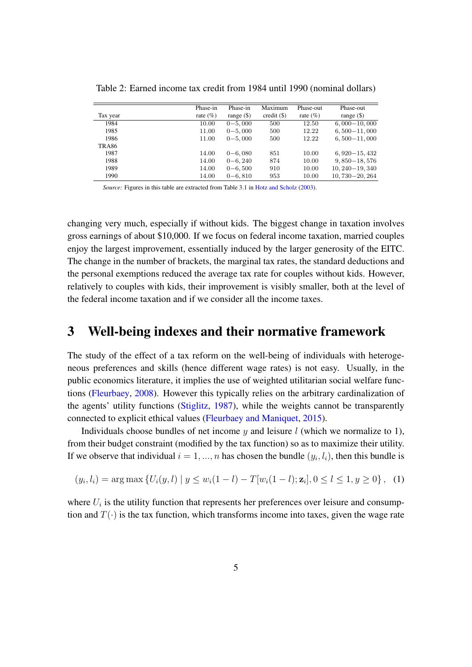|          | Phase-in     | Phase-in     | Maximum             | Phase-out    | Phase-out           |
|----------|--------------|--------------|---------------------|--------------|---------------------|
| Tax year | rate $(\% )$ | range $(\$)$ | $\text{credit}(\$)$ | rate $(\% )$ | range $(\$)$        |
| 1984     | 10.00        | $0 - 5,000$  | 500                 | 12.50        | $6,000-10,000$      |
| 1985     | 11.00        | $0 - 5,000$  | 500                 | 12.22        | $6,500 - 11,000$    |
| 1986     | 11.00        | $0 - 5,000$  | 500                 | 12.22        | $6,500 - 11,000$    |
| TRA86    |              |              |                     |              |                     |
| 1987     | 14.00        | $0 - 6,080$  | 851                 | 10.00        | $6,920-15,432$      |
| 1988     | 14.00        | $0 - 6,240$  | 874                 | 10.00        | $9,850 - 18,576$    |
| 1989     | 14.00        | $0 - 6,500$  | 910                 | 10.00        | $10, 240 - 19, 340$ |
| 1990     | 14.00        | $0 - 6, 810$ | 953                 | 10.00        | $10,730 - 20,264$   |

<span id="page-7-1"></span>Table 2: Earned income tax credit from 1984 until 1990 (nominal dollars)

*Source:* Figures in this table are extracted from Table 3.1 in [Hotz and Scholz](#page-45-9) [\(2003\)](#page-45-9).

changing very much, especially if without kids. The biggest change in taxation involves gross earnings of about \$10,000. If we focus on federal income taxation, married couples enjoy the largest improvement, essentially induced by the larger generosity of the EITC. The change in the number of brackets, the marginal tax rates, the standard deductions and the personal exemptions reduced the average tax rate for couples without kids. However, relatively to couples with kids, their improvement is visibly smaller, both at the level of the federal income taxation and if we consider all the income taxes.

### <span id="page-7-0"></span>3 Well-being indexes and their normative framework

The study of the effect of a tax reform on the well-being of individuals with heterogeneous preferences and skills (hence different wage rates) is not easy. Usually, in the public economics literature, it implies the use of weighted utilitarian social welfare functions [\(Fleurbaey,](#page-45-11) [2008\)](#page-45-11). However this typically relies on the arbitrary cardinalization of the agents' utility functions [\(Stiglitz,](#page-46-4) [1987\)](#page-46-4), while the weights cannot be transparently connected to explicit ethical values [\(Fleurbaey and Maniquet,](#page-45-12) [2015\)](#page-45-12).

Individuals choose bundles of net income  $y$  and leisure l (which we normalize to 1), from their budget constraint (modified by the tax function) so as to maximize their utility. If we observe that individual  $i = 1, ..., n$  has chosen the bundle  $(y_i, l_i)$ , then this bundle is

$$
(y_i, l_i) = \arg \max \{ U_i(y, l) \mid y \le w_i(1 - l) - T[w_i(1 - l); \mathbf{z}_i], 0 \le l \le 1, y \ge 0 \}, \tag{1}
$$

where  $U_i$  is the utility function that represents her preferences over leisure and consumption and  $T(\cdot)$  is the tax function, which transforms income into taxes, given the wage rate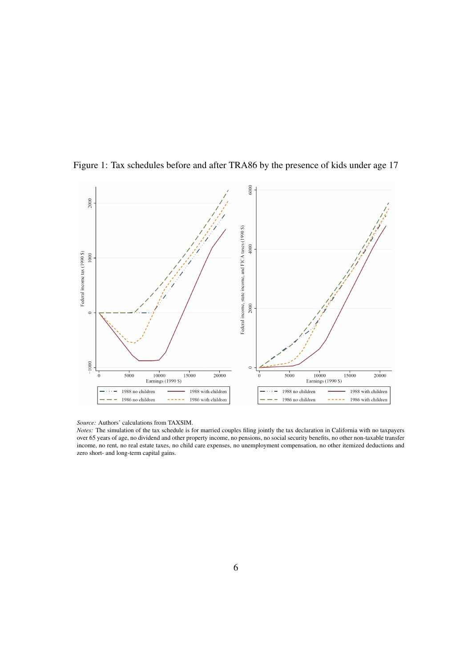

<span id="page-8-0"></span>Figure 1: Tax schedules before and after TRA86 by the presence of kids under age 17

*Source:* Authors' calculations from TAXSIM.

*Notes:* The simulation of the tax schedule is for married couples filing jointly the tax declaration in California with no taxpayers over 65 years of age, no dividend and other property income, no pensions, no social security benefits, no other non-taxable transfer income, no rent, no real estate taxes, no child care expenses, no unemployment compensation, no other itemized deductions and zero short- and long-term capital gains.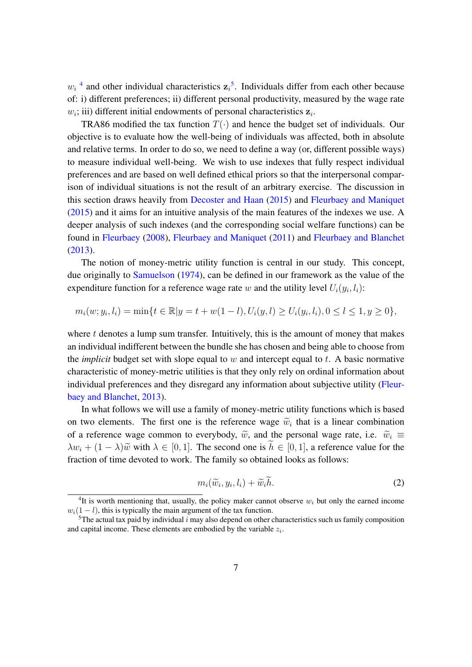$w_i$ <sup>[4](#page-9-0)</sup> and other individual characteristics  $z_i$ <sup>[5](#page-9-1)</sup>. Individuals differ from each other because of: i) different preferences; ii) different personal productivity, measured by the wage rate  $w_i$ ; iii) different initial endowments of personal characteristics  $z_i$ .

TRA86 modified the tax function  $T(\cdot)$  and hence the budget set of individuals. Our objective is to evaluate how the well-being of individuals was affected, both in absolute and relative terms. In order to do so, we need to define a way (or, different possible ways) to measure individual well-being. We wish to use indexes that fully respect individual preferences and are based on well defined ethical priors so that the interpersonal comparison of individual situations is not the result of an arbitrary exercise. The discussion in this section draws heavily from [Decoster and Haan](#page-45-7) [\(2015\)](#page-45-7) and [Fleurbaey and Maniquet](#page-45-12) [\(2015\)](#page-45-12) and it aims for an intuitive analysis of the main features of the indexes we use. A deeper analysis of such indexes (and the corresponding social welfare functions) can be found in [Fleurbaey](#page-45-11) [\(2008\)](#page-45-11), [Fleurbaey and Maniquet](#page-45-6) [\(2011\)](#page-45-6) and [Fleurbaey and Blanchet](#page-45-13) [\(2013\)](#page-45-13).

The notion of money-metric utility function is central in our study. This concept, due originally to [Samuelson](#page-46-5) [\(1974\)](#page-46-5), can be defined in our framework as the value of the expenditure function for a reference wage rate w and the utility level  $U_i(y_i, l_i)$ :

$$
m_i(w; y_i, l_i) = \min\{t \in \mathbb{R} | y = t + w(1 - l), U_i(y, l) \ge U_i(y_i, l_i), 0 \le l \le 1, y \ge 0\},\
$$

where  $t$  denotes a lump sum transfer. Intuitively, this is the amount of money that makes an individual indifferent between the bundle she has chosen and being able to choose from the *implicit* budget set with slope equal to  $w$  and intercept equal to  $t$ . A basic normative characteristic of money-metric utilities is that they only rely on ordinal information about individual preferences and they disregard any information about subjective utility [\(Fleur](#page-45-13)[baey and Blanchet,](#page-45-13) [2013\)](#page-45-13).

In what follows we will use a family of money-metric utility functions which is based on two elements. The first one is the reference wage  $\widetilde{w}_i$  that is a linear combination of a unforce was common to supple dy  $\widetilde{w}_i$  and the agreemed wage at  $\widetilde{w}_i =$ of a reference wage common to everybody,  $\tilde{w}$ , and the personal wage rate, i.e.  $\tilde{w}_i \equiv$  $\lambda w_i + (1 - \lambda) \tilde{w}$  with  $\lambda \in [0, 1]$ . The second one is  $\tilde{h} \in [0, 1]$ , a reference value for the fraction of time devoted to work. The family so obtained looks as follows:

<span id="page-9-2"></span>
$$
m_i(\widetilde{w}_i, y_i, l_i) + \widetilde{w}_i \widetilde{h}.\tag{2}
$$

<span id="page-9-0"></span><sup>&</sup>lt;sup>4</sup>It is worth mentioning that, usually, the policy maker cannot observe  $w_i$  but only the earned income  $w_i(1 - l)$ , this is typically the main argument of the tax function.

<span id="page-9-1"></span><sup>&</sup>lt;sup>5</sup>The actual tax paid by individual i may also depend on other characteristics such us family composition and capital income. These elements are embodied by the variable  $z_i$ .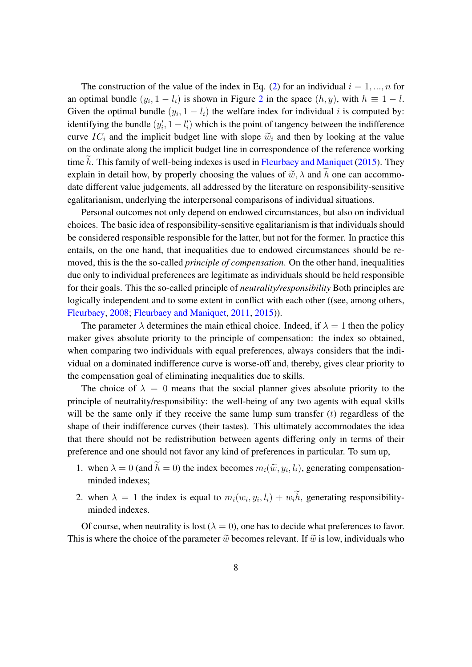The construction of the value of the index in Eq. [\(2\)](#page-9-2) for an individual  $i = 1, ..., n$  for an optimal bundle  $(y_i, 1 - l_i)$  is shown in Figure [2](#page-11-0) in the space  $(h, y)$ , with  $h \equiv 1 - l$ . Given the optimal bundle  $(y_i, 1 - l_i)$  the welfare index for individual i is computed by: identifying the bundle  $(y'_i, 1 - l'_i)$  which is the point of tangency between the indifference curve IC<sub>i</sub> and the implicit budget line with slope  $\tilde{w}_i$  and then by looking at the value on the ordinate along the implicit budget line in correspondence of the reference working time  $h$ . This family of well-being indexes is used in [Fleurbaey and Maniquet](#page-45-12) [\(2015\)](#page-45-12). They explain in detail how, by properly choosing the values of  $\tilde{w}$ ,  $\lambda$  and  $\tilde{h}$  one can accommodate different value judgements, all addressed by the literature on responsibility-sensitive egalitarianism, underlying the interpersonal comparisons of individual situations.

Personal outcomes not only depend on endowed circumstances, but also on individual choices. The basic idea of responsibility-sensitive egalitarianism is that individuals should be considered responsible responsible for the latter, but not for the former. In practice this entails, on the one hand, that inequalities due to endowed circumstances should be removed, this is the the so-called *principle of compensation*. On the other hand, inequalities due only to individual preferences are legitimate as individuals should be held responsible for their goals. This the so-called principle of *neutrality/responsibility* Both principles are logically independent and to some extent in conflict with each other ((see, among others, [Fleurbaey,](#page-45-11) [2008;](#page-45-11) [Fleurbaey and Maniquet,](#page-45-6) [2011,](#page-45-6) [2015\)](#page-45-12)).

The parameter  $\lambda$  determines the main ethical choice. Indeed, if  $\lambda = 1$  then the policy maker gives absolute priority to the principle of compensation: the index so obtained, when comparing two individuals with equal preferences, always considers that the individual on a dominated indifference curve is worse-off and, thereby, gives clear priority to the compensation goal of eliminating inequalities due to skills.

The choice of  $\lambda = 0$  means that the social planner gives absolute priority to the principle of neutrality/responsibility: the well-being of any two agents with equal skills will be the same only if they receive the same lump sum transfer  $(t)$  regardless of the shape of their indifference curves (their tastes). This ultimately accommodates the idea that there should not be redistribution between agents differing only in terms of their preference and one should not favor any kind of preferences in particular. To sum up,

- 1. when  $\lambda = 0$  (and  $h = 0$ ) the index becomes  $m_i(\tilde{w}, y_i, l_i)$ , generating compensationminded indexes;
- 2. when  $\lambda = 1$  the index is equal to  $m_i(w_i, y_i, l_i) + w_i h$ , generating responsibilityminded indexes.

Of course, when neutrality is lost ( $\lambda = 0$ ), one has to decide what preferences to favor. This is where the choice of the parameter  $\tilde{w}$  becomes relevant. If  $\tilde{w}$  is low, individuals who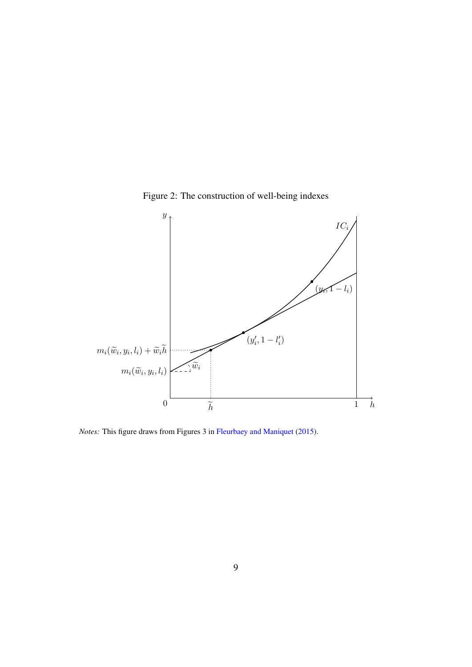

<span id="page-11-0"></span>

*Notes:* This figure draws from Figures 3 in [Fleurbaey and Maniquet](#page-45-12) [\(2015\)](#page-45-12).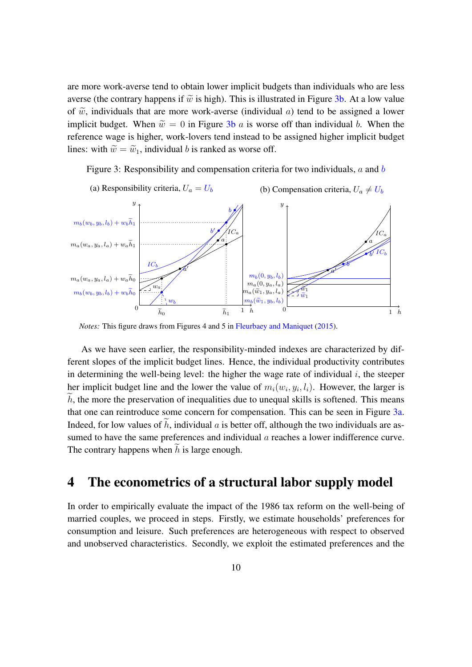are more work-averse tend to obtain lower implicit budgets than individuals who are less averse (the contrary happens if  $\tilde{w}$  is high). This is illustrated in Figure [3b.](#page-12-1) At a low value of  $\tilde{w}$ , individuals that are more work-averse (individual a) tend to be assigned a lower implicit budget. When  $\tilde{w} = 0$  in Figure [3b](#page-12-1) a is worse off than individual b. When the reference wage is higher, work-lovers tend instead to be assigned higher implicit budget lines: with  $\widetilde{w} = \widetilde{w}_1$ , individual b is ranked as worse off.

<span id="page-12-1"></span>Figure 3: Responsibility and compensation criteria for two individuals,  $a$  and  $b$ 



*Notes:* This figure draws from Figures 4 and 5 in [Fleurbaey and Maniquet](#page-45-12) [\(2015\)](#page-45-12).

As we have seen earlier, the responsibility-minded indexes are characterized by different slopes of the implicit budget lines. Hence, the individual productivity contributes in determining the well-being level: the higher the wage rate of individual  $i$ , the steeper her implicit budget line and the lower the value of  $m_i(w_i, y_i, l_i)$ . However, the larger is  $\hat{h}$ , the more the preservation of inequalities due to unequal skills is softened. This means that one can reintroduce some concern for compensation. This can be seen in Figure [3a.](#page-12-1) Indeed, for low values of  $\tilde{h}$ , individual a is better off, although the two individuals are assumed to have the same preferences and individual  $a$  reaches a lower indifference curve. The contrary happens when  $\hat{h}$  is large enough.

# <span id="page-12-0"></span>4 The econometrics of a structural labor supply model

In order to empirically evaluate the impact of the 1986 tax reform on the well-being of married couples, we proceed in steps. Firstly, we estimate households' preferences for consumption and leisure. Such preferences are heterogeneous with respect to observed and unobserved characteristics. Secondly, we exploit the estimated preferences and the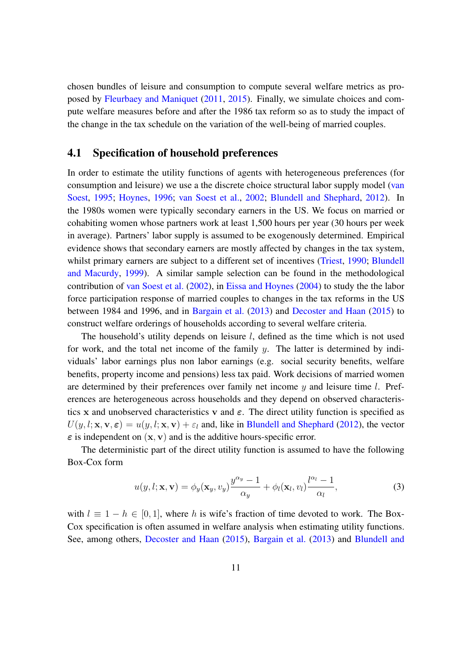chosen bundles of leisure and consumption to compute several welfare metrics as proposed by [Fleurbaey and Maniquet](#page-45-6) [\(2011,](#page-45-6) [2015\)](#page-45-12). Finally, we simulate choices and compute welfare measures before and after the 1986 tax reform so as to study the impact of the change in the tax schedule on the variation of the well-being of married couples.

### <span id="page-13-1"></span>4.1 Specification of household preferences

In order to estimate the utility functions of agents with heterogeneous preferences (for consumption and leisure) we use a the discrete choice structural labor supply model [\(van](#page-46-6) [Soest,](#page-46-6) [1995;](#page-46-6) [Hoynes,](#page-45-14) [1996;](#page-45-14) [van Soest et al.,](#page-46-7) [2002;](#page-46-7) [Blundell and Shephard,](#page-44-5) [2012\)](#page-44-5). In the 1980s women were typically secondary earners in the US. We focus on married or cohabiting women whose partners work at least 1,500 hours per year (30 hours per week in average). Partners' labor supply is assumed to be exogenously determined. Empirical evidence shows that secondary earners are mostly affected by changes in the tax system, whilst primary earners are subject to a different set of incentives [\(Triest,](#page-46-8) [1990;](#page-46-8) [Blundell](#page-44-6) [and Macurdy,](#page-44-6) [1999\)](#page-44-6). A similar sample selection can be found in the methodological contribution of [van Soest et al.](#page-46-7) [\(2002\)](#page-46-7), in [Eissa and Hoynes](#page-45-4) [\(2004\)](#page-45-4) to study the the labor force participation response of married couples to changes in the tax reforms in the US between 1984 and 1996, and in [Bargain et al.](#page-44-3) [\(2013\)](#page-44-3) and [Decoster and Haan](#page-45-7) [\(2015\)](#page-45-7) to construct welfare orderings of households according to several welfare criteria.

The household's utility depends on leisure  $l$ , defined as the time which is not used for work, and the total net income of the family  $y$ . The latter is determined by individuals' labor earnings plus non labor earnings (e.g. social security benefits, welfare benefits, property income and pensions) less tax paid. Work decisions of married women are determined by their preferences over family net income  $y$  and leisure time  $l$ . Preferences are heterogeneous across households and they depend on observed characteristics x and unobserved characteristics v and  $\varepsilon$ . The direct utility function is specified as  $U(y, l; \mathbf{x}, \mathbf{v}, \varepsilon) = u(y, l; \mathbf{x}, \mathbf{v}) + \varepsilon_l$  and, like in [Blundell and Shephard](#page-44-5) [\(2012\)](#page-44-5), the vector  $\epsilon$  is independent on  $(x, y)$  and is the additive hours-specific error.

The deterministic part of the direct utility function is assumed to have the following Box-Cox form

<span id="page-13-0"></span>
$$
u(y, l; \mathbf{x}, \mathbf{v}) = \phi_y(\mathbf{x}_y, v_y) \frac{y^{\alpha_y} - 1}{\alpha_y} + \phi_l(\mathbf{x}_l, v_l) \frac{l^{\alpha_l} - 1}{\alpha_l},
$$
\n(3)

with  $l \equiv 1 - h \in [0, 1]$ , where h is wife's fraction of time devoted to work. The Box-Cox specification is often assumed in welfare analysis when estimating utility functions. See, among others, [Decoster and Haan](#page-45-7) [\(2015\)](#page-45-7), [Bargain et al.](#page-44-3) [\(2013\)](#page-44-3) and [Blundell and](#page-44-5)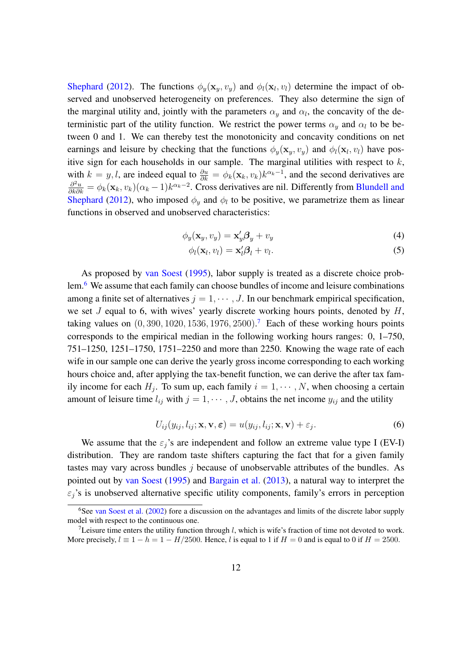[Shephard](#page-44-5) [\(2012\)](#page-44-5). The functions  $\phi_y(\mathbf{x}_y, v_y)$  and  $\phi_l(\mathbf{x}_l, v_l)$  determine the impact of observed and unobserved heterogeneity on preferences. They also determine the sign of the marginal utility and, jointly with the parameters  $\alpha_y$  and  $\alpha_l$ , the concavity of the deterministic part of the utility function. We restrict the power terms  $\alpha_y$  and  $\alpha_l$  to be between 0 and 1. We can thereby test the monotonicity and concavity conditions on net earnings and leisure by checking that the functions  $\phi_y(\mathbf{x}_y, v_y)$  and  $\phi_l(\mathbf{x}_l, v_l)$  have positive sign for each households in our sample. The marginal utilities with respect to  $k$ , with  $k = y, l$ , are indeed equal to  $\frac{\partial u}{\partial k} = \phi_k(\mathbf{x}_k, v_k) k^{\alpha_k - 1}$ , and the second derivatives are  $\frac{\partial^2 u}{\partial k \partial k} = \phi_k(\mathbf{x}_k, v_k)(\alpha_k - 1)k^{\alpha_k - 2}$ . Cross derivatives are nil. Differently from [Blundell and](#page-44-5) [Shephard](#page-44-5) [\(2012\)](#page-44-5), who imposed  $\phi_y$  and  $\phi_l$  to be positive, we parametrize them as linear functions in observed and unobserved characteristics:

$$
\phi_y(\mathbf{x}_y, v_y) = \mathbf{x}_y' \boldsymbol{\beta}_y + v_y \tag{4}
$$

$$
\phi_l(\mathbf{x}_l, v_l) = \mathbf{x}_l' \boldsymbol{\beta}_l + v_l. \tag{5}
$$

As proposed by [van Soest](#page-46-6) [\(1995\)](#page-46-6), labor supply is treated as a discrete choice prob-lem.<sup>[6](#page-14-0)</sup> We assume that each family can choose bundles of income and leisure combinations among a finite set of alternatives  $j = 1, \dots, J$ . In our benchmark empirical specification, we set  $J$  equal to 6, with wives' yearly discrete working hours points, denoted by  $H$ , taking values on  $(0, 390, 1020, 1536, 1976, 2500)$  $(0, 390, 1020, 1536, 1976, 2500)$  $(0, 390, 1020, 1536, 1976, 2500)$ .<sup>7</sup> Each of these working hours points corresponds to the empirical median in the following working hours ranges: 0, 1–750, 751–1250, 1251–1750, 1751–2250 and more than 2250. Knowing the wage rate of each wife in our sample one can derive the yearly gross income corresponding to each working hours choice and, after applying the tax-benefit function, we can derive the after tax family income for each  $H_j$ . To sum up, each family  $i = 1, \dots, N$ , when choosing a certain amount of leisure time  $l_{ij}$  with  $j = 1, \dots, J$ , obtains the net income  $y_{ij}$  and the utility

$$
U_{ij}(y_{ij}, l_{ij}; \mathbf{x}, \mathbf{v}, \varepsilon) = u(y_{ij}, l_{ij}; \mathbf{x}, \mathbf{v}) + \varepsilon_j.
$$
 (6)

We assume that the  $\varepsilon_i$ 's are independent and follow an extreme value type I (EV-I) distribution. They are random taste shifters capturing the fact that for a given family tastes may vary across bundles  $j$  because of unobservable attributes of the bundles. As pointed out by [van Soest](#page-46-6) [\(1995\)](#page-46-6) and [Bargain et al.](#page-44-3) [\(2013\)](#page-44-3), a natural way to interpret the  $\varepsilon_i$ 's is unobserved alternative specific utility components, family's errors in perception

<span id="page-14-0"></span><sup>&</sup>lt;sup>6</sup>See [van Soest et al.](#page-46-7) [\(2002\)](#page-46-7) fore a discussion on the advantages and limits of the discrete labor supply model with respect to the continuous one.

<span id="page-14-1"></span><sup>&</sup>lt;sup>7</sup>Leisure time enters the utility function through l, which is wife's fraction of time not devoted to work. More precisely,  $l \equiv 1 - h = 1 - H/2500$ . Hence, l is equal to 1 if  $H = 0$  and is equal to 0 if  $H = 2500$ .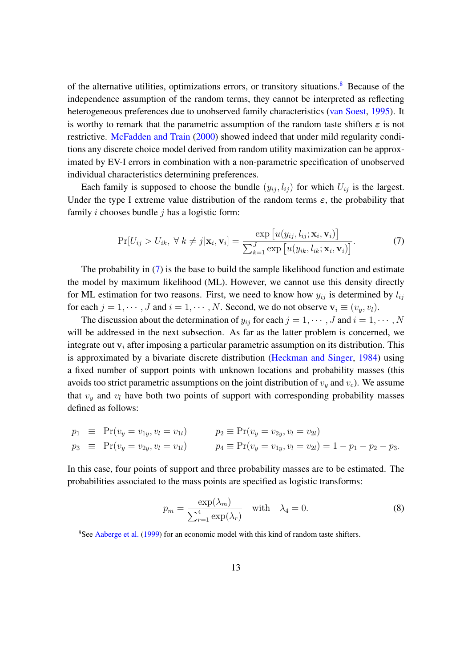of the alternative utilities, optimizations errors, or transitory situations.<sup>[8](#page-15-0)</sup> Because of the independence assumption of the random terms, they cannot be interpreted as reflecting heterogeneous preferences due to unobserved family characteristics [\(van Soest,](#page-46-6) [1995\)](#page-46-6). It is worthy to remark that the parametric assumption of the random taste shifters  $\varepsilon$  is not restrictive. [McFadden and Train](#page-46-9) [\(2000\)](#page-46-9) showed indeed that under mild regularity conditions any discrete choice model derived from random utility maximization can be approximated by EV-I errors in combination with a non-parametric specification of unobserved individual characteristics determining preferences.

Each family is supposed to choose the bundle  $(y_{ii}, l_{ii})$  for which  $U_{ii}$  is the largest. Under the type I extreme value distribution of the random terms  $\varepsilon$ , the probability that family  $i$  chooses bundle  $j$  has a logistic form:

<span id="page-15-1"></span>
$$
\Pr[U_{ij} > U_{ik}, \forall k \neq j | \mathbf{x}_i, \mathbf{v}_i] = \frac{\exp[u(y_{ij}, l_{ij}; \mathbf{x}_i, \mathbf{v}_i)]}{\sum_{k=1}^J \exp[u(y_{ik}, l_{ik}; \mathbf{x}_i, \mathbf{v}_i)]}.
$$
(7)

The probability in  $(7)$  is the base to build the sample likelihood function and estimate the model by maximum likelihood (ML). However, we cannot use this density directly for ML estimation for two reasons. First, we need to know how  $y_{ij}$  is determined by  $l_{ij}$ for each  $j = 1, \dots, J$  and  $i = 1, \dots, N$ . Second, we do not observe  $v_i \equiv (v_u, v_l)$ .

The discussion about the determination of  $y_{ij}$  for each  $j = 1, \dots, J$  and  $i = 1, \dots, N$ will be addressed in the next subsection. As far as the latter problem is concerned, we integrate out  $v_i$  after imposing a particular parametric assumption on its distribution. This is approximated by a bivariate discrete distribution [\(Heckman and Singer,](#page-45-15) [1984\)](#page-45-15) using a fixed number of support points with unknown locations and probability masses (this avoids too strict parametric assumptions on the joint distribution of  $v_y$  and  $v_c$ ). We assume that  $v_y$  and  $v_l$  have both two points of support with corresponding probability masses defined as follows:

<span id="page-15-2"></span>
$$
p_1 \equiv Pr(v_y = v_{1y}, v_l = v_{1l})
$$
  
\n
$$
p_2 \equiv Pr(v_y = v_{2y}, v_l = v_{2l})
$$
  
\n
$$
p_3 \equiv Pr(v_y = v_{2y}, v_l = v_{1l})
$$
  
\n
$$
p_4 \equiv Pr(v_y = v_{1y}, v_l = v_{2l}) = 1 - p_1 - p_2 - p_3.
$$

In this case, four points of support and three probability masses are to be estimated. The probabilities associated to the mass points are specified as logistic transforms:

$$
p_m = \frac{\exp(\lambda_m)}{\sum_{r=1}^4 \exp(\lambda_r)} \quad \text{with} \quad \lambda_4 = 0. \tag{8}
$$

<span id="page-15-0"></span><sup>&</sup>lt;sup>8</sup>See [Aaberge et al.](#page-44-7) [\(1999\)](#page-44-7) for an economic model with this kind of random taste shifters.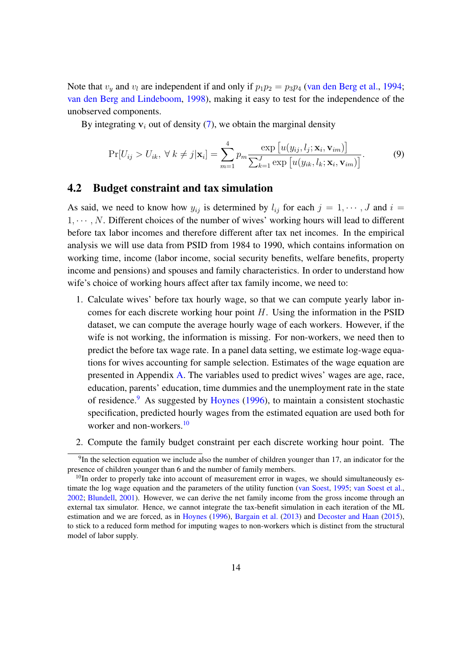Note that  $v_y$  and  $v_l$  are independent if and only if  $p_1p_2 = p_3p_4$  [\(van den Berg et al.,](#page-46-10) [1994;](#page-46-10) [van den Berg and Lindeboom,](#page-46-11) [1998\)](#page-46-11), making it easy to test for the independence of the unobserved components.

By integrating  $v_i$  out of density [\(7\)](#page-15-1), we obtain the marginal density

<span id="page-16-2"></span>
$$
\Pr[U_{ij} > U_{ik}, \forall k \neq j | \mathbf{x}_i] = \sum_{m=1}^{4} p_m \frac{\exp[u(y_{ij}, l_j; \mathbf{x}_i, \mathbf{v}_{im})]}{\sum_{k=1}^{J} \exp[u(y_{ik}, l_k; \mathbf{x}_i, \mathbf{v}_{im})]}.
$$
(9)

### 4.2 Budget constraint and tax simulation

As said, we need to know how  $y_{ij}$  is determined by  $l_{ij}$  for each  $j = 1, \dots, J$  and  $i =$  $1, \dots, N$ . Different choices of the number of wives' working hours will lead to different before tax labor incomes and therefore different after tax net incomes. In the empirical analysis we will use data from PSID from 1984 to 1990, which contains information on working time, income (labor income, social security benefits, welfare benefits, property income and pensions) and spouses and family characteristics. In order to understand how wife's choice of working hours affect after tax family income, we need to:

- 1. Calculate wives' before tax hourly wage, so that we can compute yearly labor incomes for each discrete working hour point  $H$ . Using the information in the PSID dataset, we can compute the average hourly wage of each workers. However, if the wife is not working, the information is missing. For non-workers, we need then to predict the before tax wage rate. In a panel data setting, we estimate log-wage equations for wives accounting for sample selection. Estimates of the wage equation are presented in Appendix [A.](#page-39-0) The variables used to predict wives' wages are age, race, education, parents' education, time dummies and the unemployment rate in the state of residence.[9](#page-16-0) As suggested by [Hoynes](#page-45-14) [\(1996\)](#page-45-14), to maintain a consistent stochastic specification, predicted hourly wages from the estimated equation are used both for worker and non-workers.<sup>[10](#page-16-1)</sup>
- 2. Compute the family budget constraint per each discrete working hour point. The

<span id="page-16-0"></span> $9$ In the selection equation we include also the number of children younger than 17, an indicator for the presence of children younger than 6 and the number of family members.

<span id="page-16-1"></span> $10$ In order to properly take into account of measurement error in wages, we should simultaneously es-timate the log wage equation and the parameters of the utility function [\(van Soest,](#page-46-6) [1995;](#page-46-6) [van Soest et al.,](#page-46-7) [2002;](#page-46-7) [Blundell,](#page-44-4) [2001\)](#page-44-4). However, we can derive the net family income from the gross income through an external tax simulator. Hence, we cannot integrate the tax-benefit simulation in each iteration of the ML estimation and we are forced, as in [Hoynes](#page-45-14) [\(1996\)](#page-45-14), [Bargain et al.](#page-44-3) [\(2013\)](#page-44-3) and [Decoster and Haan](#page-45-7) [\(2015\)](#page-45-7), to stick to a reduced form method for imputing wages to non-workers which is distinct from the structural model of labor supply.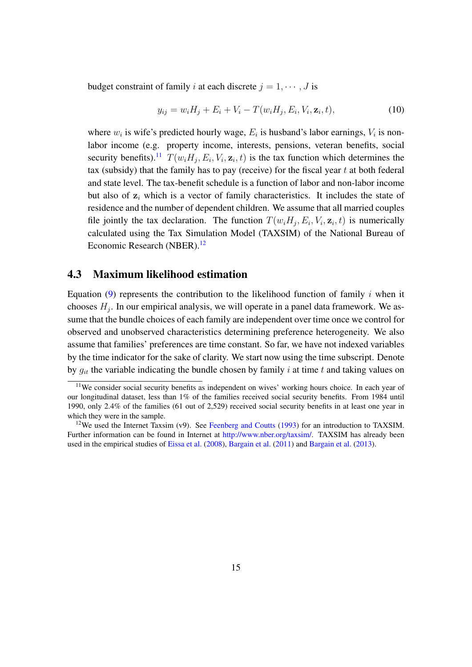budget constraint of family i at each discrete  $j = 1, \dots, J$  is

$$
y_{ij} = w_i H_j + E_i + V_i - T(w_i H_j, E_i, V_i, \mathbf{z}_i, t),
$$
\n(10)

where  $w_i$  is wife's predicted hourly wage,  $E_i$  is husband's labor earnings,  $V_i$  is nonlabor income (e.g. property income, interests, pensions, veteran benefits, social security benefits).<sup>[11](#page-17-0)</sup>  $T(w_i H_j, E_i, V_i, \mathbf{z}_i, t)$  is the tax function which determines the tax (subsidy) that the family has to pay (receive) for the fiscal year  $t$  at both federal and state level. The tax-benefit schedule is a function of labor and non-labor income but also of  $z_i$  which is a vector of family characteristics. It includes the state of residence and the number of dependent children. We assume that all married couples file jointly the tax declaration. The function  $T(w_i H_j, E_i, V_i, \mathbf{z}_i, t)$  is numerically calculated using the Tax Simulation Model (TAXSIM) of the National Bureau of Economic Research (NBER).<sup>[12](#page-17-1)</sup>

#### 4.3 Maximum likelihood estimation

Equation  $(9)$  represents the contribution to the likelihood function of family i when it chooses  $H_j$ . In our empirical analysis, we will operate in a panel data framework. We assume that the bundle choices of each family are independent over time once we control for observed and unobserved characteristics determining preference heterogeneity. We also assume that families' preferences are time constant. So far, we have not indexed variables by the time indicator for the sake of clarity. We start now using the time subscript. Denote by  $g_{it}$  the variable indicating the bundle chosen by family i at time t and taking values on

<span id="page-17-0"></span><sup>11</sup>We consider social security benefits as independent on wives' working hours choice. In each year of our longitudinal dataset, less than 1% of the families received social security benefits. From 1984 until 1990, only 2.4% of the families (61 out of 2,529) received social security benefits in at least one year in which they were in the sample.

<span id="page-17-1"></span><sup>&</sup>lt;sup>12</sup>We used the Internet Taxsim (v9). See [Feenberg and Coutts](#page-45-16) [\(1993\)](#page-45-16) for an introduction to TAXSIM. Further information can be found in Internet at [http://www.nber.org/taxsim/.](http://www.nber.org/taxsim/) TAXSIM has already been used in the empirical studies of [Eissa et al.](#page-45-0) [\(2008\)](#page-45-0), [Bargain et al.](#page-44-8) [\(2011\)](#page-44-8) and [Bargain et al.](#page-44-3) [\(2013\)](#page-44-3).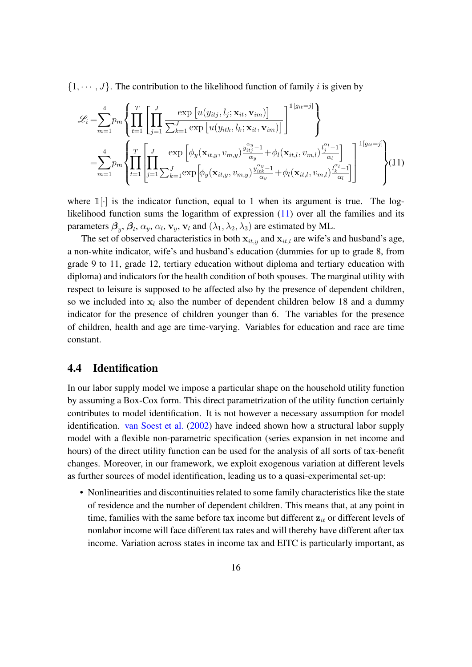$\{1, \dots, J\}$ . The contribution to the likelihood function of family *i* is given by

<span id="page-18-0"></span>
$$
\mathcal{L}_{i} = \sum_{m=1}^{4} p_{m} \left\{ \prod_{t=1}^{T} \left[ \prod_{j=1}^{J} \frac{\exp\left[u(y_{itj}, l_{j}; \mathbf{x}_{it}, \mathbf{v}_{im})\right]}{\sum_{k=1}^{J} \exp\left[u(y_{itk}, l_{k}; \mathbf{x}_{it}, \mathbf{v}_{im})\right]} \right]^{1[g_{it}=j]} \right\}
$$

$$
= \sum_{m=1}^{4} p_{m} \left\{ \prod_{t=1}^{T} \left[ \prod_{j=1}^{J} \frac{\exp\left[\phi_{y}(\mathbf{x}_{it,y}, v_{m,y}) \frac{y_{itj}^{\alpha_{y}} - 1}{\alpha_{y}} + \phi_{l}(\mathbf{x}_{it,l}, v_{m,l}) \frac{y_{jt}^{\alpha_{l}} - 1}{\alpha_{l}} \right]}{\sum_{t=1}^{J} \sum_{k=1}^{J} \exp\left[\phi_{y}(\mathbf{x}_{it,y}, v_{m,y}) \frac{y_{itk}^{\alpha_{y}} - 1}{\alpha_{y}} + \phi_{l}(\mathbf{x}_{it,l}, v_{m,l}) \frac{y_{it}^{\alpha_{l}} - 1}{\alpha_{l}} \right]} \right]^{1[g_{it}=j]} \right\} (11)
$$

where  $\mathbb{1}[\cdot]$  is the indicator function, equal to 1 when its argument is true. The loglikelihood function sums the logarithm of expression  $(11)$  over all the families and its parameters  $\beta_y$ ,  $\beta_l$ ,  $\alpha_y$ ,  $\alpha_l$ ,  $\mathbf{v}_y$ ,  $\mathbf{v}_l$  and  $(\lambda_1, \lambda_2, \lambda_3)$  are estimated by ML.

The set of observed characteristics in both  $x_{it,y}$  and  $x_{it,l}$  are wife's and husband's age, a non-white indicator, wife's and husband's education (dummies for up to grade 8, from grade 9 to 11, grade 12, tertiary education without diploma and tertiary education with diploma) and indicators for the health condition of both spouses. The marginal utility with respect to leisure is supposed to be affected also by the presence of dependent children, so we included into  $x_l$  also the number of dependent children below 18 and a dummy indicator for the presence of children younger than 6. The variables for the presence of children, health and age are time-varying. Variables for education and race are time constant.

#### 4.4 Identification

In our labor supply model we impose a particular shape on the household utility function by assuming a Box-Cox form. This direct parametrization of the utility function certainly contributes to model identification. It is not however a necessary assumption for model identification. [van Soest et al.](#page-46-7) [\(2002\)](#page-46-7) have indeed shown how a structural labor supply model with a flexible non-parametric specification (series expansion in net income and hours) of the direct utility function can be used for the analysis of all sorts of tax-benefit changes. Moreover, in our framework, we exploit exogenous variation at different levels as further sources of model identification, leading us to a quasi-experimental set-up:

• Nonlinearities and discontinuities related to some family characteristics like the state of residence and the number of dependent children. This means that, at any point in time, families with the same before tax income but different  $z_{it}$  or different levels of nonlabor income will face different tax rates and will thereby have different after tax income. Variation across states in income tax and EITC is particularly important, as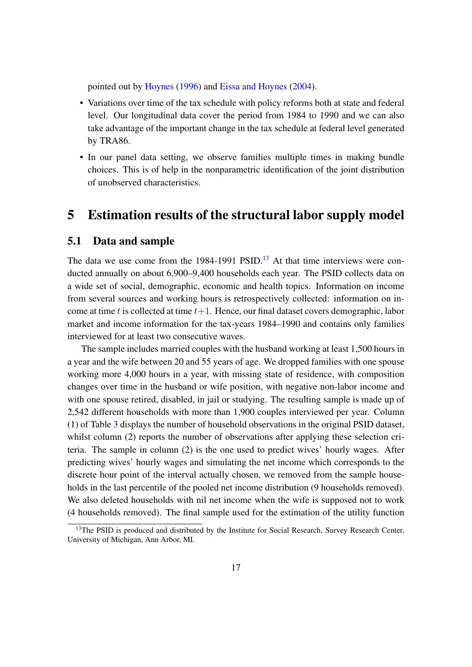pointed out by [Hoynes](#page-45-14) [\(1996\)](#page-45-14) and [Eissa and Hoynes](#page-45-4) [\(2004\)](#page-45-4).

- Variations over time of the tax schedule with policy reforms both at state and federal level. Our longitudinal data cover the period from 1984 to 1990 and we can also take advantage of the important change in the tax schedule at federal level generated by TRA86.
- In our panel data setting, we observe families multiple times in making bundle choices. This is of help in the nonparametric identification of the joint distribution of unobserved characteristics.

# <span id="page-19-0"></span>5 Estimation results of the structural labor supply model

#### 5.1 Data and sample

The data we use come from the  $1984-1991$  PSID.<sup>[13](#page-19-1)</sup> At that time interviews were conducted annually on about 6,900–9,400 households each year. The PSID collects data on a wide set of social, demographic, economic and health topics. Information on income from several sources and working hours is retrospectively collected: information on income at time t is collected at time  $t+1$ . Hence, our final dataset covers demographic, labor market and income information for the tax-years 1984–1990 and contains only families interviewed for at least two consecutive waves.

The sample includes married couples with the husband working at least 1,500 hours in a year and the wife between 20 and 55 years of age. We dropped families with one spouse working more 4,000 hours in a year, with missing state of residence, with composition changes over time in the husband or wife position, with negative non-labor income and with one spouse retired, disabled, in jail or studying. The resulting sample is made up of 2,542 different households with more than 1,900 couples interviewed per year. Column (1) of Table [3](#page-20-0) displays the number of household observations in the original PSID dataset, whilst column (2) reports the number of observations after applying these selection criteria. The sample in column (2) is the one used to predict wives' hourly wages. After predicting wives' hourly wages and simulating the net income which corresponds to the discrete hour point of the interval actually chosen, we removed from the sample households in the last percentile of the pooled net income distribution (9 households removed). We also deleted households with nil net income when the wife is supposed not to work (4 households removed). The final sample used for the estimation of the utility function

<span id="page-19-1"></span><sup>&</sup>lt;sup>13</sup>The PSID is produced and distributed by the Institute for Social Research, Survey Research Center, University of Michigan, Ann Arbor, MI.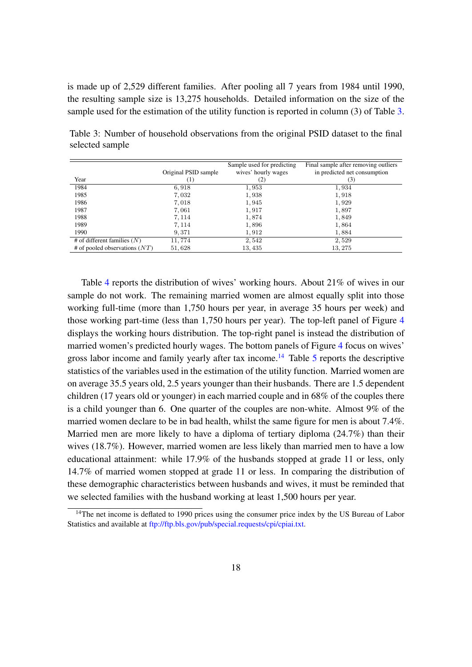is made up of 2,529 different families. After pooling all 7 years from 1984 until 1990, the resulting sample size is 13,275 households. Detailed information on the size of the sample used for the estimation of the utility function is reported in column (3) of Table [3.](#page-20-0)

|                                 |                      | Sample used for predicting | Final sample after removing outliers |
|---------------------------------|----------------------|----------------------------|--------------------------------------|
|                                 | Original PSID sample | wives' hourly wages        | in predicted net consumption         |
| Year                            | (1)                  | (2)                        | (3)                                  |
| 1984                            | 6,918                | 1,953                      | 1,934                                |
| 1985                            | 7,032                | 1,938                      | 1,918                                |
| 1986                            | 7,018                | 1,945                      | 1,929                                |
| 1987                            | 7,061                | 1,917                      | 1,897                                |
| 1988                            | 7, 114               | 1,874                      | 1,849                                |
| 1989                            | 7, 114               | 1,896                      | 1,864                                |
| 1990                            | 9,371                | 1,912                      | 1,884                                |
| # of different families $(N)$   | 11,774               | 2,542                      | 2,529                                |
| # of pooled observations $(NT)$ | 51,628               | 13, 435                    | 13, 275                              |

<span id="page-20-0"></span>Table 3: Number of household observations from the original PSID dataset to the final selected sample

Table [4](#page-21-0) reports the distribution of wives' working hours. About 21% of wives in our sample do not work. The remaining married women are almost equally split into those working full-time (more than 1,750 hours per year, in average 35 hours per week) and those working part-time (less than 1,750 hours per year). The top-left panel of Figure [4](#page-21-1) displays the working hours distribution. The top-right panel is instead the distribution of married women's predicted hourly wages. The bottom panels of Figure [4](#page-21-1) focus on wives' gross labor income and family yearly after tax income.<sup>[14](#page-20-1)</sup> Table [5](#page-22-0) reports the descriptive statistics of the variables used in the estimation of the utility function. Married women are on average 35.5 years old, 2.5 years younger than their husbands. There are 1.5 dependent children (17 years old or younger) in each married couple and in 68% of the couples there is a child younger than 6. One quarter of the couples are non-white. Almost 9% of the married women declare to be in bad health, whilst the same figure for men is about 7.4%. Married men are more likely to have a diploma of tertiary diploma (24.7%) than their wives (18.7%). However, married women are less likely than married men to have a low educational attainment: while 17.9% of the husbands stopped at grade 11 or less, only 14.7% of married women stopped at grade 11 or less. In comparing the distribution of these demographic characteristics between husbands and wives, it must be reminded that we selected families with the husband working at least 1,500 hours per year.

<span id="page-20-1"></span><sup>&</sup>lt;sup>14</sup>The net income is deflated to 1990 prices using the consumer price index by the US Bureau of Labor Statistics and available at [ftp://ftp.bls.gov/pub/special.requests/cpi/cpiai.txt.](ftp://ftp.bls.gov/pub/special.requests/cpi/cpiai.txt)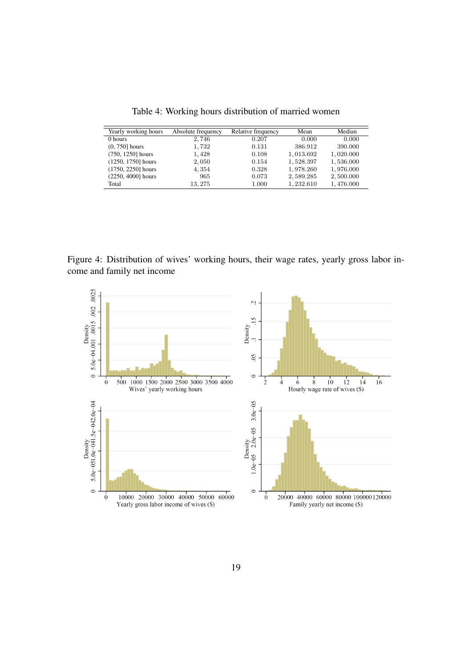Table 4: Working hours distribution of married women

<span id="page-21-0"></span>

| Yearly working hours | Absolute frequency | Relative frequency | Mean      | Median    |
|----------------------|--------------------|--------------------|-----------|-----------|
| 0 hours              | 2,746              | 0.207              | 0.000     | 0.000     |
| $(0, 750]$ hours     | 1,732              | 0.131              | 386.912   | 390.000   |
| $(750, 1250]$ hours  | 1,428              | 0.108              | 1,013.692 | 1,020.000 |
| $(1250, 1750]$ hours | 2,050              | 0.154              | 1,528.397 | 1,536.000 |
| $(1750, 2250)$ hours | 4,354              | 0.328              | 1,978.260 | 1,976.000 |
| (2250, 4000] hours   | 965                | 0.073              | 2,589.285 | 2,500.000 |
| Total                | 13, 275            | 1.000              | 1,232.610 | 1,476.000 |

<span id="page-21-1"></span>Figure 4: Distribution of wives' working hours, their wage rates, yearly gross labor income and family net income

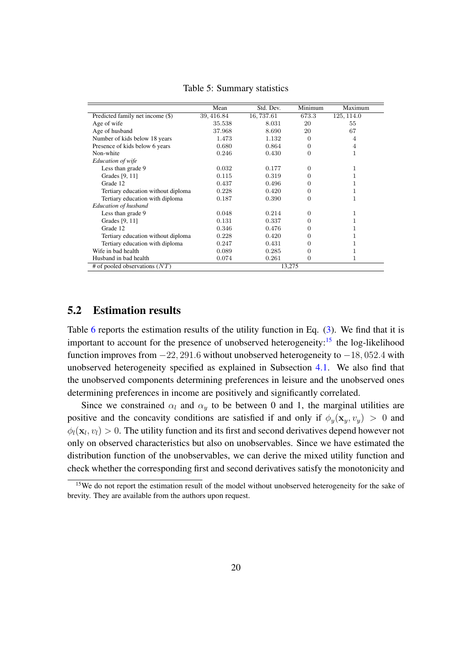<span id="page-22-0"></span>

|                                           | Mean       | Std. Dev. | Minimum      | Maximum    |  |
|-------------------------------------------|------------|-----------|--------------|------------|--|
| Predicted family net income (\$)          | 39, 416.84 | 16,737.61 | 673.3        | 125, 114.0 |  |
| Age of wife                               | 35.538     | 8.031     | 20           | 55         |  |
| Age of husband                            | 37.968     | 8.690     | 20           | 67         |  |
| Number of kids below 18 years             | 1.473      | 1.132     | 0            | 4          |  |
| Presence of kids below 6 years            | 0.680      | 0.864     | $\theta$     | 4          |  |
| Non-white                                 | 0.246      | 0.430     | 0            |            |  |
| Education of wife                         |            |           |              |            |  |
| Less than grade 9                         | 0.032      | 0.177     | 0            |            |  |
| Grades [9, 11]                            | 0.115      | 0.319     | $^{(1)}$     |            |  |
| Grade 12                                  | 0.437      | 0.496     | 0            |            |  |
| Tertiary education without diploma        | 0.228      | 0.420     | 0            |            |  |
| Tertiary education with diploma           | 0.187      | 0.390     | 0            |            |  |
| Education of husband                      |            |           |              |            |  |
| Less than grade 9                         | 0.048      | 0.214     | 0            | 1          |  |
| Grades [9, 11]                            | 0.131      | 0.337     | 0            |            |  |
| Grade 12                                  | 0.346      | 0.476     | $\mathbf{0}$ |            |  |
| Tertiary education without diploma        | 0.228      | 0.420     | 0            |            |  |
| Tertiary education with diploma           | 0.247      | 0.431     | $\mathbf{0}$ |            |  |
| Wife in bad health                        | 0.089      | 0.285     | 0            |            |  |
| Husband in bad health                     | 0.074      | 0.261     | 0            |            |  |
| # of pooled observations $(NT)$<br>13,275 |            |           |              |            |  |

Table 5: Summary statistics

### <span id="page-22-2"></span>5.2 Estimation results

Table [6](#page-23-0) reports the estimation results of the utility function in Eq. [\(3\)](#page-13-0). We find that it is important to account for the presence of unobserved heterogeneity:<sup>[15](#page-22-1)</sup> the log-likelihood function improves from  $-22$ , 291.6 without unobserved heterogeneity to  $-18$ , 052.4 with unobserved heterogeneity specified as explained in Subsection [4.1.](#page-13-1) We also find that the unobserved components determining preferences in leisure and the unobserved ones determining preferences in income are positively and significantly correlated.

Since we constrained  $\alpha_l$  and  $\alpha_y$  to be between 0 and 1, the marginal utilities are positive and the concavity conditions are satisfied if and only if  $\phi_y(\mathbf{x}_y, v_y) > 0$  and  $\phi_l(\mathbf{x}_l, v_l) > 0$ . The utility function and its first and second derivatives depend however not only on observed characteristics but also on unobservables. Since we have estimated the distribution function of the unobservables, we can derive the mixed utility function and check whether the corresponding first and second derivatives satisfy the monotonicity and

<span id="page-22-1"></span><sup>&</sup>lt;sup>15</sup>We do not report the estimation result of the model without unobserved heterogeneity for the sake of brevity. They are available from the authors upon request.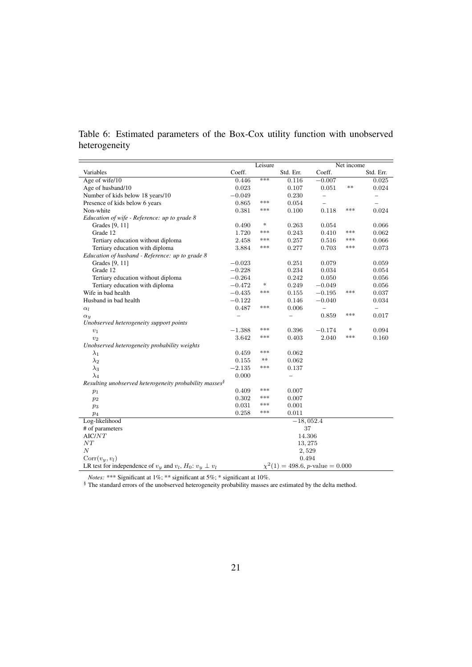<span id="page-23-0"></span>Table 6: Estimated parameters of the Box-Cox utility function with unobserved heterogeneity

|                                                                       |          | Leisure                           |                                       |                          | Net income |                          |
|-----------------------------------------------------------------------|----------|-----------------------------------|---------------------------------------|--------------------------|------------|--------------------------|
| Variables                                                             | Coeff.   |                                   | Std. Err.                             | Coeff.                   |            | Std. Err.                |
| Age of wife/10                                                        | 0.446    | ***                               | 0.116                                 | $-0.007$                 |            | 0.025                    |
| Age of husband/10                                                     | 0.023    |                                   | 0.107                                 | 0.051                    | **         | 0.024                    |
| Number of kids below 18 years/10                                      | $-0.049$ |                                   | 0.230                                 | $\overline{\phantom{0}}$ |            |                          |
| Presence of kids below 6 years                                        | 0.865    | ***                               | 0.054                                 | $\qquad \qquad -$        |            | $\overline{\phantom{0}}$ |
| Non-white                                                             | 0.381    | ***                               | 0.100                                 | 0.118                    | ***        | 0.024                    |
| Education of wife - Reference: up to grade 8                          |          |                                   |                                       |                          |            |                          |
| Grades [9, 11]                                                        | 0.490    | $\frac{d\mathbf{r}}{d\mathbf{r}}$ | 0.263                                 | 0.054                    |            | 0.066                    |
| Grade 12                                                              | 1.720    | ***                               | 0.243                                 | 0.410                    | ***        | 0.062                    |
| Tertiary education without diploma                                    | 2.458    | ***                               | 0.257                                 | 0.516                    | ***        | 0.066                    |
| Tertiary education with diploma                                       | 3.884    | ***                               | 0.277                                 | 0.703                    | ***        | 0.073                    |
| Education of husband - Reference: up to grade 8                       |          |                                   |                                       |                          |            |                          |
| Grades [9, 11]                                                        | $-0.023$ |                                   | 0.251                                 | 0.079                    |            | 0.059                    |
| Grade 12                                                              | $-0.228$ |                                   | 0.234                                 | 0.034                    |            | 0.054                    |
| Tertiary education without diploma                                    | $-0.264$ |                                   | 0.242                                 | 0.050                    |            | 0.056                    |
| Tertiary education with diploma                                       | $-0.472$ | *                                 | 0.249                                 | $-0.049$                 |            | 0.056                    |
| Wife in bad health                                                    | $-0.435$ | ***                               | 0.155                                 | $-0.195$                 | ***        | 0.037                    |
| Husband in bad health                                                 | $-0.122$ |                                   | 0.146                                 | $-0.040$                 |            | 0.034                    |
| $\alpha_l$                                                            | 0.487    | ***                               | 0.006                                 | $\overline{a}$           |            | $\overline{\phantom{0}}$ |
| $\alpha_{y}$                                                          |          |                                   |                                       | 0.859                    | ***        | 0.017                    |
| Unobserved heterogeneity support points                               |          |                                   |                                       |                          |            |                          |
| $v_1$                                                                 | $-1.388$ | ***                               | 0.396                                 | $-0.174$                 | *          | 0.094                    |
| $v_2$                                                                 | 3.642    | ***                               | 0.403                                 | 2.040                    | ***        | 0.160                    |
| Unobserved heterogeneity probability weights                          |          |                                   |                                       |                          |            |                          |
| $\lambda_1$                                                           | 0.459    | ***                               | 0.062                                 |                          |            |                          |
| $\lambda_2$                                                           | 0.155    | **                                | 0.062                                 |                          |            |                          |
| $\lambda_3$                                                           | $-2.135$ | ***                               | 0.137                                 |                          |            |                          |
| $\lambda_4$                                                           | 0.000    |                                   | $\overline{\phantom{0}}$              |                          |            |                          |
| Resulting unobserved heterogeneity probability masses $\delta$        |          |                                   |                                       |                          |            |                          |
| $p_1$                                                                 | 0.409    | ***                               | 0.007                                 |                          |            |                          |
| $p_2$                                                                 | 0.302    | ***                               | 0.007                                 |                          |            |                          |
| $p_3$                                                                 | 0.031    | ***                               | 0.001                                 |                          |            |                          |
| p <sub>4</sub>                                                        | 0.258    | ***                               | 0.011                                 |                          |            |                          |
| Log-likelihood                                                        |          |                                   | $-18,052.4$                           |                          |            |                          |
| # of parameters                                                       |          |                                   | 37                                    |                          |            |                          |
| AIC/NT                                                                |          |                                   | 14.306                                |                          |            |                          |
| NT                                                                    |          |                                   | 13, 275                               |                          |            |                          |
| $\overline{N}$                                                        |          |                                   | 2,529                                 |                          |            |                          |
| Corr(v <sub>y</sub> , v <sub>l</sub> )                                |          |                                   | 0.494                                 |                          |            |                          |
| LR test for independence of $v_y$ and $v_l$ , $H_0$ : $v_y \perp v_l$ |          |                                   | $\chi^2(1) = 498.6$ , p-value = 0.000 |                          |            |                          |

*Notes:* \*\*\* Significant at 1%; \*\* significant at 5%; \* significant at 10%.

§ The standard errors of the unobserved heterogeneity probability masses are estimated by the delta method.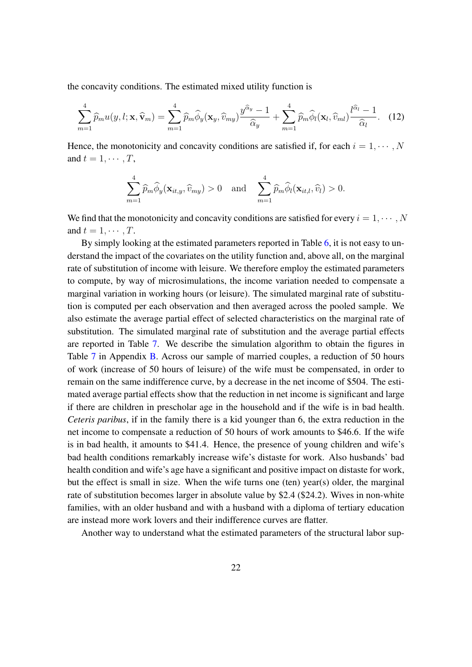the concavity conditions. The estimated mixed utility function is

$$
\sum_{m=1}^{4} \widehat{p}_m u(y, l; \mathbf{x}, \widehat{\mathbf{v}}_m) = \sum_{m=1}^{4} \widehat{p}_m \widehat{\phi}_y(\mathbf{x}_y, \widehat{v}_{my}) \frac{y^{\widehat{\alpha}_y} - 1}{\widehat{\alpha}_y} + \sum_{m=1}^{4} \widehat{p}_m \widehat{\phi}_l(\mathbf{x}_l, \widehat{v}_{ml}) \frac{l^{\widehat{\alpha}_l} - 1}{\widehat{\alpha}_l}.
$$
 (12)

Hence, the monotonicity and concavity conditions are satisfied if, for each  $i = 1, \dots, N$ and  $t = 1, \cdots, T$ ,

$$
\sum_{m=1}^4 \widehat{p}_m \widehat{\phi}_y(\mathbf{x}_{it,y}, \widehat{v}_{my}) > 0 \text{ and } \sum_{m=1}^4 \widehat{p}_m \widehat{\phi}_l(\mathbf{x}_{it,l}, \widehat{v}_l) > 0.
$$

We find that the monotonicity and concavity conditions are satisfied for every  $i = 1, \dots, N$ and  $t = 1, \cdots, T$ .

By simply looking at the estimated parameters reported in Table [6,](#page-23-0) it is not easy to understand the impact of the covariates on the utility function and, above all, on the marginal rate of substitution of income with leisure. We therefore employ the estimated parameters to compute, by way of microsimulations, the income variation needed to compensate a marginal variation in working hours (or leisure). The simulated marginal rate of substitution is computed per each observation and then averaged across the pooled sample. We also estimate the average partial effect of selected characteristics on the marginal rate of substitution. The simulated marginal rate of substitution and the average partial effects are reported in Table [7.](#page-25-0) We describe the simulation algorithm to obtain the figures in Table [7](#page-25-0) in Appendix [B.](#page-41-0) Across our sample of married couples, a reduction of 50 hours of work (increase of 50 hours of leisure) of the wife must be compensated, in order to remain on the same indifference curve, by a decrease in the net income of \$504. The estimated average partial effects show that the reduction in net income is significant and large if there are children in prescholar age in the household and if the wife is in bad health. *Ceteris paribus*, if in the family there is a kid younger than 6, the extra reduction in the net income to compensate a reduction of 50 hours of work amounts to \$46.6. If the wife is in bad health, it amounts to \$41.4. Hence, the presence of young children and wife's bad health conditions remarkably increase wife's distaste for work. Also husbands' bad health condition and wife's age have a significant and positive impact on distaste for work, but the effect is small in size. When the wife turns one (ten) year(s) older, the marginal rate of substitution becomes larger in absolute value by \$2.4 (\$24.2). Wives in non-white families, with an older husband and with a husband with a diploma of tertiary education are instead more work lovers and their indifference curves are flatter.

Another way to understand what the estimated parameters of the structural labor sup-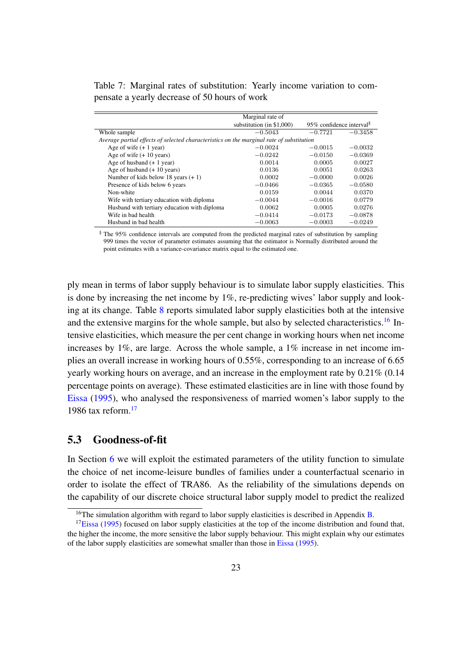<span id="page-25-0"></span>Table 7: Marginal rates of substitution: Yearly income variation to compensate a yearly decrease of 50 hours of work

|                                                                                          | Marginal rate of          |                                      |           |
|------------------------------------------------------------------------------------------|---------------------------|--------------------------------------|-----------|
|                                                                                          | substitution (in \$1,000) | 95% confidence interval <sup>§</sup> |           |
| Whole sample                                                                             | $-0.5043$                 | $-0.7721$                            | $-0.3458$ |
| Average partial effects of selected characteristics on the marginal rate of substitution |                           |                                      |           |
| Age of wife $(+ 1$ year)                                                                 | $-0.0024$                 | $-0.0015$                            | $-0.0032$ |
| Age of wife $(+10 \text{ years})$                                                        | $-0.0242$                 | $-0.0150$                            | $-0.0369$ |
| Age of husband $(+ 1$ year)                                                              | 0.0014                    | 0.0005                               | 0.0027    |
| Age of husband $(+ 10$ years)                                                            | 0.0136                    | 0.0051                               | 0.0263    |
| Number of kids below 18 years $(+1)$                                                     | 0.0002                    | $-0.0000$                            | 0.0026    |
| Presence of kids below 6 years                                                           | $-0.0466$                 | $-0.0365$                            | $-0.0580$ |
| Non-white                                                                                | 0.0159                    | 0.0044                               | 0.0370    |
| Wife with tertiary education with diploma                                                | $-0.0044$                 | $-0.0016$                            | 0.0779    |
| Husband with tertiary education with diploma                                             | 0.0062                    | 0.0005                               | 0.0276    |
| Wife in bad health                                                                       | $-0.0414$                 | $-0.0173$                            | $-0.0878$ |
| Husband in bad health                                                                    | $-0.0063$                 | $-0.0003$                            | $-0.0249$ |

§ The 95% confidence intervals are computed from the predicted marginal rates of substitution by sampling 999 times the vector of parameter estimates assuming that the estimator is Normally distributed around the point estimates with a variance-covariance matrix equal to the estimated one.

ply mean in terms of labor supply behaviour is to simulate labor supply elasticities. This is done by increasing the net income by 1%, re-predicting wives' labor supply and looking at its change. Table [8](#page-26-0) reports simulated labor supply elasticities both at the intensive and the extensive margins for the whole sample, but also by selected characteristics.<sup>[16](#page-25-1)</sup> Intensive elasticities, which measure the per cent change in working hours when net income increases by 1%, are large. Across the whole sample, a 1% increase in net income implies an overall increase in working hours of 0.55%, corresponding to an increase of 6.65 yearly working hours on average, and an increase in the employment rate by 0.21% (0.14 percentage points on average). These estimated elasticities are in line with those found by [Eissa](#page-45-17) [\(1995\)](#page-45-17), who analysed the responsiveness of married women's labor supply to the 1986 tax reform. $17$ 

#### 5.3 Goodness-of-fit

In Section [6](#page-28-0) we will exploit the estimated parameters of the utility function to simulate the choice of net income-leisure bundles of families under a counterfactual scenario in order to isolate the effect of TRA86. As the reliability of the simulations depends on the capability of our discrete choice structural labor supply model to predict the realized

<span id="page-25-2"></span><span id="page-25-1"></span><sup>&</sup>lt;sup>16</sup>The simulation algorithm with regard to labor supply elasticities is described in Appendix [B.](#page-41-0)

 $17Eissa$  $17Eissa$  [\(1995\)](#page-45-17) focused on labor supply elasticities at the top of the income distribution and found that, the higher the income, the more sensitive the labor supply behaviour. This might explain why our estimates of the labor supply elasticities are somewhat smaller than those in [Eissa](#page-45-17) [\(1995\)](#page-45-17).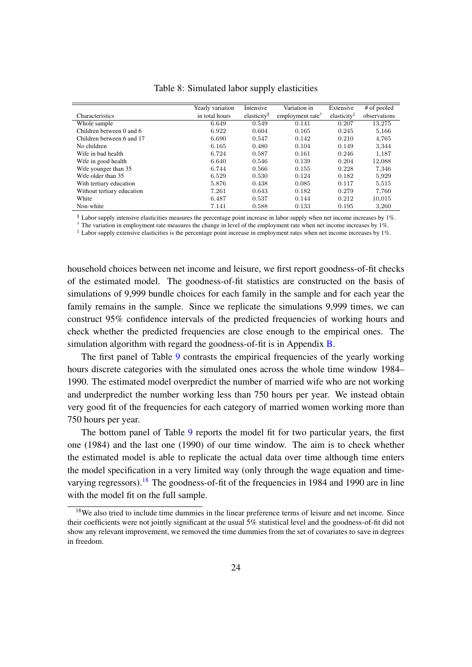<span id="page-26-0"></span>

|                            | Yearly variation | Intensive               | Variation in                 | Extensive             | # of pooled  |
|----------------------------|------------------|-------------------------|------------------------------|-----------------------|--------------|
| Characteristics            | in total hours   | elasticity <sup>§</sup> | employment rate <sup>†</sup> | elasticity $\ddagger$ | observations |
| Whole sample               | 6.649            | 0.549                   | 0.141                        | 0.207                 | 13.275       |
| Children between 0 and 6   | 6.922            | 0.604                   | 0.165                        | 0.245                 | 5,166        |
| Children between 6 and 17  | 6.690            | 0.547                   | 0.142                        | 0.210                 | 4,765        |
| No children                | 6.165            | 0.480                   | 0.104                        | 0.149                 | 3,344        |
| Wife in bad health         | 6.724            | 0.587                   | 0.161                        | 0.246                 | 1,187        |
| Wife in good health        | 6.640            | 0.546                   | 0.139                        | 0.204                 | 12,088       |
| Wife younger than 35       | 6.744            | 0.566                   | 0.155                        | 0.228                 | 7,346        |
| Wife older than 35         | 6.529            | 0.530                   | 0.124                        | 0.182                 | 5,929        |
| With tertiary education    | 5.876            | 0.438                   | 0.085                        | 0.117                 | 5,515        |
| Without tertiary education | 7.261            | 0.643                   | 0.182                        | 0.279                 | 7,760        |
| White                      | 6.487            | 0.537                   | 0.144                        | 0.212                 | 10,015       |
| Non-white                  | 7.141            | 0.588                   | 0.133                        | 0.195                 | 3,260        |

Table 8: Simulated labor supply elasticities

§ Labor supply intensive elasticities measures the percentage point increase in labor supply when net income increases by 1%.  $\dagger$  The variation in employment rate measures the change in level of the employment rate when net income increases by 1%.

‡ Labor supply extensive elasticities is the percentage point increase in employment rates when net income increases by 1%.

household choices between net income and leisure, we first report goodness-of-fit checks of the estimated model. The goodness-of-fit statistics are constructed on the basis of simulations of 9,999 bundle choices for each family in the sample and for each year the family remains in the sample. Since we replicate the simulations 9,999 times, we can construct 95% confidence intervals of the predicted frequencies of working hours and check whether the predicted frequencies are close enough to the empirical ones. The simulation algorithm with regard the goodness-of-fit is in Appendix [B.](#page-41-0)

The first panel of Table [9](#page-27-0) contrasts the empirical frequencies of the yearly working hours discrete categories with the simulated ones across the whole time window 1984– 1990. The estimated model overpredict the number of married wife who are not working and underpredict the number working less than 750 hours per year. We instead obtain very good fit of the frequencies for each category of married women working more than 750 hours per year.

The bottom panel of Table [9](#page-27-0) reports the model fit for two particular years, the first one (1984) and the last one (1990) of our time window. The aim is to check whether the estimated model is able to replicate the actual data over time although time enters the model specification in a very limited way (only through the wage equation and time-varying regressors).<sup>[18](#page-26-1)</sup> The goodness-of-fit of the frequencies in 1984 and 1990 are in line with the model fit on the full sample.

<span id="page-26-1"></span><sup>&</sup>lt;sup>18</sup>We also tried to include time dummies in the linear preference terms of leisure and net income. Since their coefficients were not jointly significant at the usual 5% statistical level and the goodness-of-fit did not show any relevant improvement, we removed the time dummies from the set of covariates to save in degrees in freedom.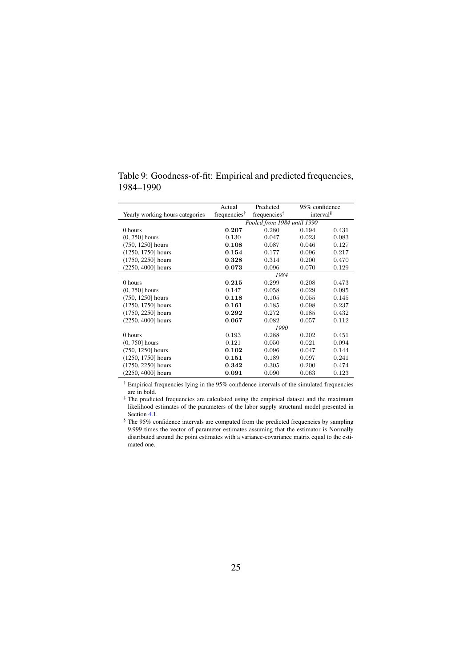|                                 | Actual                   | Predicted                   | 95% confidence        |       |
|---------------------------------|--------------------------|-----------------------------|-----------------------|-------|
| Yearly working hours categories | frequencies <sup>†</sup> | frequencies $\ddagger$      | interval <sup>§</sup> |       |
|                                 |                          | Pooled from 1984 until 1990 |                       |       |
| 0 hours                         | 0.207                    | 0.280                       | 0.194                 | 0.431 |
| $(0, 750]$ hours                | 0.130                    | 0.047                       | 0.023                 | 0.083 |
| $(750, 1250)$ hours             | 0.108                    | 0.087                       | 0.046                 | 0.127 |
| $(1250, 1750)$ hours            | 0.154                    | 0.177                       | 0.096                 | 0.217 |
| $(1750, 2250)$ hours            | 0.328                    | 0.314                       | 0.200                 | 0.470 |
| (2250, 4000] hours              | 0.073                    | 0.096                       | 0.070                 | 0.129 |
|                                 |                          | 1984                        |                       |       |
| 0 hours                         | 0.215                    | 0.299                       | 0.208                 | 0.473 |
| $(0, 750]$ hours                | 0.147                    | 0.058                       | 0.029                 | 0.095 |
| $(750, 1250)$ hours             | 0.118                    | 0.105                       | 0.055                 | 0.145 |
| $(1250, 1750)$ hours            | 0.161                    | 0.185                       | 0.098                 | 0.237 |
| $(1750, 2250)$ hours            | 0.292                    | 0.272                       | 0.185                 | 0.432 |
| (2250, 4000] hours              | 0.067                    | 0.082                       | 0.057                 | 0.112 |
|                                 |                          | 1990                        |                       |       |
| 0 hours                         | 0.193                    | 0.288                       | 0.202                 | 0.451 |
| $(0, 750]$ hours                | 0.121                    | 0.050                       | 0.021                 | 0.094 |
| $(750, 1250]$ hours             | 0.102                    | 0.096                       | 0.047                 | 0.144 |
| (1250, 1750) hours              | 0.151                    | 0.189                       | 0.097                 | 0.241 |
| $(1750, 2250)$ hours            | 0.342                    | 0.305                       | 0.200                 | 0.474 |
| $(2250, 4000]$ hours            | 0.091                    | 0.090                       | 0.063                 | 0.123 |

<span id="page-27-0"></span>Table 9: Goodness-of-fit: Empirical and predicted frequencies, 1984–1990

† Empirical frequencies lying in the 95% confidence intervals of the simulated frequencies are in bold.

‡ The predicted frequencies are calculated using the empirical dataset and the maximum likelihood estimates of the parameters of the labor supply structural model presented in Section [4.1.](#page-13-1)

§ The 95% confidence intervals are computed from the predicted frequencies by sampling 9,999 times the vector of parameter estimates assuming that the estimator is Normally distributed around the point estimates with a variance-covariance matrix equal to the estimated one.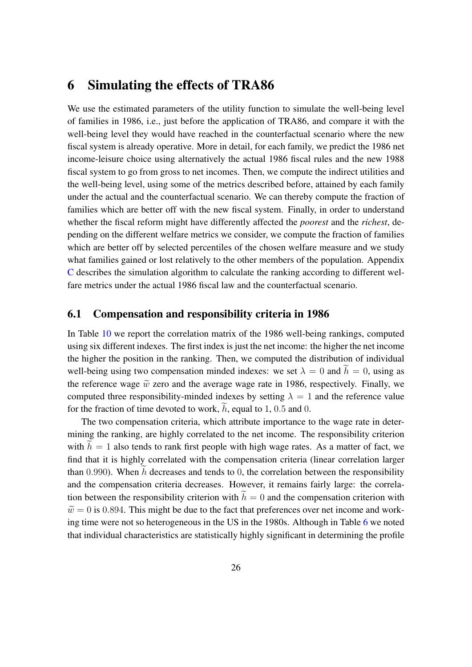# <span id="page-28-0"></span>6 Simulating the effects of TRA86

We use the estimated parameters of the utility function to simulate the well-being level of families in 1986, i.e., just before the application of TRA86, and compare it with the well-being level they would have reached in the counterfactual scenario where the new fiscal system is already operative. More in detail, for each family, we predict the 1986 net income-leisure choice using alternatively the actual 1986 fiscal rules and the new 1988 fiscal system to go from gross to net incomes. Then, we compute the indirect utilities and the well-being level, using some of the metrics described before, attained by each family under the actual and the counterfactual scenario. We can thereby compute the fraction of families which are better off with the new fiscal system. Finally, in order to understand whether the fiscal reform might have differently affected the *poorest* and the *richest*, depending on the different welfare metrics we consider, we compute the fraction of families which are better off by selected percentiles of the chosen welfare measure and we study what families gained or lost relatively to the other members of the population. Appendix [C](#page-42-0) describes the simulation algorithm to calculate the ranking according to different welfare metrics under the actual 1986 fiscal law and the counterfactual scenario.

#### 6.1 Compensation and responsibility criteria in 1986

In Table [10](#page-29-0) we report the correlation matrix of the 1986 well-being rankings, computed using six different indexes. The first index is just the net income: the higher the net income the higher the position in the ranking. Then, we computed the distribution of individual well-being using two compensation minded indexes: we set  $\lambda = 0$  and  $\tilde{h} = 0$ , using as the reference wage  $\tilde{w}$  zero and the average wage rate in 1986, respectively. Finally, we computed three responsibility-minded indexes by setting  $\lambda = 1$  and the reference value for the fraction of time devoted to work,  $h$ , equal to 1, 0.5 and 0.

The two compensation criteria, which attribute importance to the wage rate in determining the ranking, are highly correlated to the net income. The responsibility criterion with  $h = 1$  also tends to rank first people with high wage rates. As a matter of fact, we find that it is highly correlated with the compensation criteria (linear correlation larger than 0.990). When  $\hat{h}$  decreases and tends to 0, the correlation between the responsibility and the compensation criteria decreases. However, it remains fairly large: the correlation between the responsibility criterion with  $h = 0$  and the compensation criterion with  $\tilde{w} = 0$  is 0.894. This might be due to the fact that preferences over net income and working time were not so heterogeneous in the US in the 1980s. Although in Table [6](#page-23-0) we noted that individual characteristics are statistically highly significant in determining the profile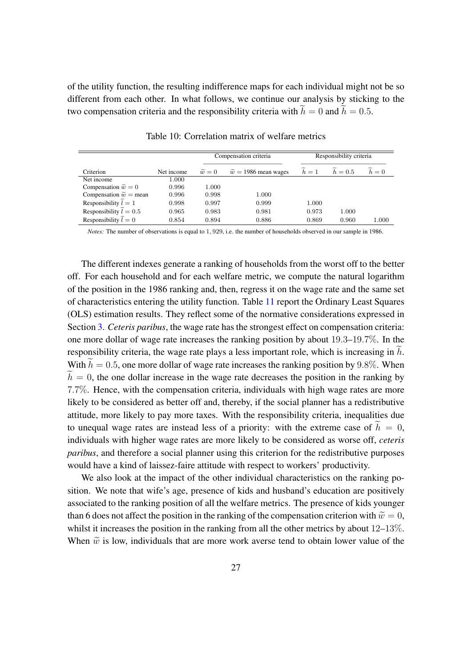of the utility function, the resulting indifference maps for each individual might not be so different from each other. In what follows, we continue our analysis by sticking to the two compensation criteria and the responsibility criteria with  $\widetilde{h} = 0$  and  $\widetilde{h} = 0.5$ .

<span id="page-29-0"></span>

|                                 |            |                   | Compensation criteria         |       | Responsibility criteria |       |
|---------------------------------|------------|-------------------|-------------------------------|-------|-------------------------|-------|
| Criterion                       | Net income | $\widetilde{w}=0$ | $\tilde{w} = 1986$ mean wages | $h=1$ | $h=0.5$                 | $h=0$ |
| Net income                      | 1.000      |                   |                               |       |                         |       |
| Compensation $\tilde{w} = 0$    | 0.996      | 1.000             |                               |       |                         |       |
| Compensation $\tilde{w}$ = mean | 0.996      | 0.998             | 1.000                         |       |                         |       |
| Responsibility $l = 1$          | 0.998      | 0.997             | 0.999                         | 1.000 |                         |       |
| Responsibility $l = 0.5$        | 0.965      | 0.983             | 0.981                         | 0.973 | 1.000                   |       |
| Responsibility $l = 0$          | 0.854      | 0.894             | 0.886                         | 0.869 | 0.960                   | 1.000 |

Table 10: Correlation matrix of welfare metrics

*Notes:* The number of observations is equal to 1, 929, i.e. the number of households observed in our sample in 1986.

The different indexes generate a ranking of households from the worst off to the better off. For each household and for each welfare metric, we compute the natural logarithm of the position in the 1986 ranking and, then, regress it on the wage rate and the same set of characteristics entering the utility function. Table [11](#page-30-0) report the Ordinary Least Squares (OLS) estimation results. They reflect some of the normative considerations expressed in Section [3.](#page-7-0) *Ceteris paribus*, the wage rate has the strongest effect on compensation criteria: one more dollar of wage rate increases the ranking position by about 19.3–19.7%. In the responsibility criteria, the wage rate plays a less important role, which is increasing in  $\tilde{h}$ . With  $\widetilde{h} = 0.5$ , one more dollar of wage rate increases the ranking position by 9.8%. When  $\widetilde{h} = 0$ , the one dollar increase in the wage rate decreases the position in the ranking by 7.7%. Hence, with the compensation criteria, individuals with high wage rates are more likely to be considered as better off and, thereby, if the social planner has a redistributive attitude, more likely to pay more taxes. With the responsibility criteria, inequalities due to unequal wage rates are instead less of a priority: with the extreme case of  $\tilde{h} = 0$ , individuals with higher wage rates are more likely to be considered as worse off, *ceteris paribus*, and therefore a social planner using this criterion for the redistributive purposes would have a kind of laissez-faire attitude with respect to workers' productivity.

We also look at the impact of the other individual characteristics on the ranking position. We note that wife's age, presence of kids and husband's education are positively associated to the ranking position of all the welfare metrics. The presence of kids younger than 6 does not affect the position in the ranking of the compensation criterion with  $\tilde{w} = 0$ , whilst it increases the position in the ranking from all the other metrics by about  $12-13\%$ . When  $\tilde{w}$  is low, individuals that are more work averse tend to obtain lower value of the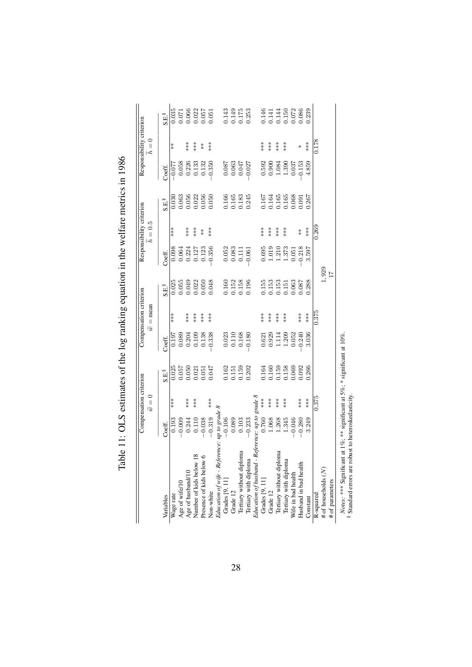|                                                                                                                                                            |                          | Compensation criterion |                         |                                                                                      | Compensation criterion |                                                                    |                                                                 | Responsibility criterion |                                                                                  |                                                                    | Responsibility criterion |                                                                                            |
|------------------------------------------------------------------------------------------------------------------------------------------------------------|--------------------------|------------------------|-------------------------|--------------------------------------------------------------------------------------|------------------------|--------------------------------------------------------------------|-----------------------------------------------------------------|--------------------------|----------------------------------------------------------------------------------|--------------------------------------------------------------------|--------------------------|--------------------------------------------------------------------------------------------|
|                                                                                                                                                            |                          | $\widetilde{w}=0$      |                         |                                                                                      | $\tilde{w}$ = mean     |                                                                    |                                                                 | $h = 0.5$                |                                                                                  |                                                                    | $\frac{1}{2}$<br>h       |                                                                                            |
| Variables                                                                                                                                                  | Coeff.                   |                        | S.E.                    | Coeff.                                                                               |                        | S.E.                                                               | Coeff.                                                          |                          | S.E.                                                                             | Coeff.                                                             |                          | S.E.                                                                                       |
| Wage rate<br>Age of wife/10                                                                                                                                |                          | ***                    | $0.025$<br>$0.057$      |                                                                                      | ***                    |                                                                    |                                                                 | ***                      |                                                                                  |                                                                    | $*$                      |                                                                                            |
|                                                                                                                                                            | $0.193$<br>$-0.009$      |                        |                         |                                                                                      |                        |                                                                    | $0.098$<br>0.064                                                |                          |                                                                                  | $\frac{60.077}{770.0}$                                             |                          |                                                                                            |
|                                                                                                                                                            |                          | ***                    | $0.050$<br>$0.021$      |                                                                                      | ***                    |                                                                    |                                                                 | $***$                    |                                                                                  |                                                                    | ***                      |                                                                                            |
| ∞<br>Age of husband/10<br>Number of kids below                                                                                                             | 0.244<br>0.110           | ***                    |                         |                                                                                      | ***                    |                                                                    |                                                                 | $**\ast$                 |                                                                                  |                                                                    | $***$                    |                                                                                            |
| $\circ$<br>Presence of kids below                                                                                                                          | $-0.038$                 |                        |                         |                                                                                      | $***$                  |                                                                    |                                                                 | $\stackrel{*}{\ast}$     |                                                                                  |                                                                    | $\stackrel{*}{\ast}$     |                                                                                            |
| Non-white                                                                                                                                                  | $-0.319$                 | ***                    | $0.051$<br>$0.047$      | $\begin{array}{r} 0.197 \\ 0.089 \\ 0.204 \\ 0.109 \\ 0.138 \\ 0.138 \\ \end{array}$ | $***$                  | 0.025<br>0.055<br>0.049<br>0.050<br>0.050                          | $\begin{array}{c} 0.224 \\ 0.127 \\ 0.123 \\ 0.356 \end{array}$ | $***$                    | $\begin{array}{c} 0.030\ 0.063\ 0.056\ 0.0122\ 0.056\ 0.056\ 0.050\ \end{array}$ | $0.226$<br>$0.133$<br>$0.135$<br>$0.350$                           | ***                      | $\begin{array}{c} 0.035 \\ 0.071 \\ 0.066 \\ 0.022 \\ 0.057 \\ 0.051 \\ 0.051 \end{array}$ |
| Education of wife - Reference:                                                                                                                             | up to grade $8$          |                        |                         |                                                                                      |                        |                                                                    |                                                                 |                          |                                                                                  |                                                                    |                          |                                                                                            |
| Grades [9, 11]                                                                                                                                             | $-0.106$                 |                        |                         |                                                                                      |                        |                                                                    |                                                                 |                          |                                                                                  |                                                                    |                          |                                                                                            |
|                                                                                                                                                            | 0.089                    |                        | $0.162$<br>$0.151$      | $\begin{array}{c} 0.023 \\ 0.110 \\ 0.168 \end{array}$                               |                        |                                                                    |                                                                 |                          |                                                                                  |                                                                    |                          |                                                                                            |
|                                                                                                                                                            | 0.103                    |                        |                         |                                                                                      |                        |                                                                    |                                                                 |                          |                                                                                  |                                                                    |                          |                                                                                            |
| Grade 12<br>Tertiary without diploma<br>Tertiary with diploma<br>Education of Jusband - Refer<br>Grades [9, 11]                                            | $-0.233$                 |                        | 0.159<br>0.202          | $-0.180$                                                                             |                        | 0.160<br>0.152<br>0.158<br>0.196                                   | $\begin{array}{c} 0.052 \\ 0.083 \\ 0.111 \\ 0.061 \end{array}$ |                          | 0.166<br>0.165<br>0.245<br>0.245                                                 | $\begin{array}{c} 0.087 \\ 0.063 \\ 0.047 \\ 0.047 \\ \end{array}$ |                          | 0.143<br>0.149<br>0.253<br>0.253                                                           |
|                                                                                                                                                            | Reference: up to grade 8 |                        |                         |                                                                                      |                        |                                                                    |                                                                 |                          |                                                                                  |                                                                    |                          |                                                                                            |
|                                                                                                                                                            | 0.760                    |                        |                         |                                                                                      | $**\ast$               |                                                                    |                                                                 | $**\ast$                 |                                                                                  |                                                                    | ***                      |                                                                                            |
|                                                                                                                                                            | 1.068                    | ***                    | 0.164<br>0.160<br>0.159 | $\begin{array}{c} 0.621 \\ 0.929 \\ 1.114 \\ 1.209 \\ 1.303 \\ 0.052 \end{array}$    | $***$                  | 0.155<br>0.153<br>0.153                                            | $\begin{array}{c} 0.695 \\ 1.019 \\ 1.373 \\ 1.373 \end{array}$ | $***$                    | 0.167<br>0.168<br>0.168<br>0.081<br>0.267                                        | $0.592$<br>$0.900$<br>$1.390$<br>$1.390$                           | $***$                    | 146<br>1414<br>15002086<br>15002089                                                        |
| Grade 12<br>Tertiary without diploma                                                                                                                       | 1.268                    | ***                    |                         |                                                                                      | $***$                  |                                                                    |                                                                 | $***$                    |                                                                                  |                                                                    | $***$                    |                                                                                            |
| Tertiary with diploma<br>Wife in bad health                                                                                                                | 1.345                    | ***                    | 158                     |                                                                                      | ***                    | $\begin{array}{c} 0.151 \\ 0.063 \\ 0.087 \\ 1.288 \\ \end{array}$ |                                                                 | ***                      |                                                                                  |                                                                    | ***                      |                                                                                            |
|                                                                                                                                                            | $-0.046$                 |                        | 0.69                    |                                                                                      |                        |                                                                    | 0.051                                                           |                          |                                                                                  | 0.037                                                              |                          |                                                                                            |
| Husband in bad health                                                                                                                                      | $-0.280$                 | ***                    | 0.92                    | 0.240                                                                                | $**\ast$               |                                                                    | $-0.218$                                                        | $*$                      |                                                                                  | $-0.153$                                                           | ⋇                        |                                                                                            |
| Constant                                                                                                                                                   | 3.249                    | ***                    | 0.266                   | 3.036                                                                                | $***$                  |                                                                    | 3.597                                                           | ***                      |                                                                                  | 4.859                                                              | ***                      |                                                                                            |
|                                                                                                                                                            |                          | 0.375                  |                         |                                                                                      | 0.375                  |                                                                    |                                                                 | 0.269                    |                                                                                  |                                                                    | 0.178                    |                                                                                            |
| $\fbox{\parbox{1.5cm} \begin{minipage}{0.8cm} \begin{tabular}{ll} \bf{R-squared} \\ \bf{\# of} \; \rm{households} \; (N) \\ \end{tabular} \end{minipage}}$ |                          |                        |                         |                                                                                      |                        | $1,929$<br>$17$                                                    |                                                                 |                          |                                                                                  |                                                                    |                          |                                                                                            |
| # of parameters                                                                                                                                            |                          |                        |                         |                                                                                      |                        |                                                                    |                                                                 |                          |                                                                                  |                                                                    |                          |                                                                                            |
| Notes: *** Significant at 1%; ** significant at 5%; * significant at 10%.                                                                                  |                          |                        |                         |                                                                                      |                        |                                                                    |                                                                 |                          |                                                                                  |                                                                    |                          |                                                                                            |
| <sup>8</sup> Standard errors are robust to heteroskedasticity                                                                                              |                          |                        |                         |                                                                                      |                        |                                                                    |                                                                 |                          |                                                                                  |                                                                    |                          |                                                                                            |

<span id="page-30-0"></span>Table 11: OLS estimates of the log ranking equation in the welfare metrics in 1986 Table 11: OLS estimates of the log ranking equation in the welfare metrics in 1986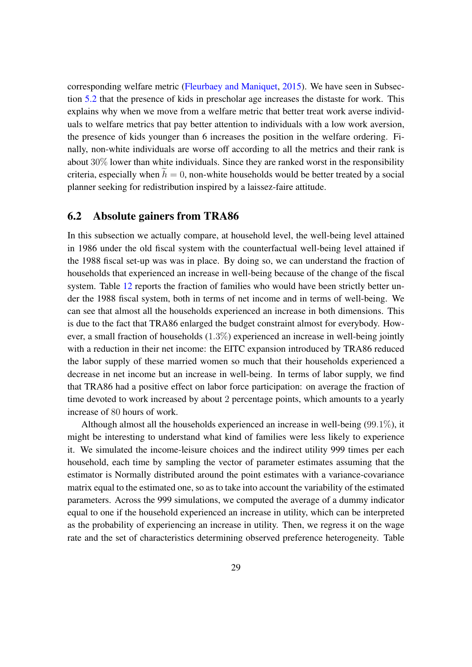corresponding welfare metric [\(Fleurbaey and Maniquet,](#page-45-12) [2015\)](#page-45-12). We have seen in Subsection [5.2](#page-22-2) that the presence of kids in prescholar age increases the distaste for work. This explains why when we move from a welfare metric that better treat work averse individuals to welfare metrics that pay better attention to individuals with a low work aversion, the presence of kids younger than 6 increases the position in the welfare ordering. Finally, non-white individuals are worse off according to all the metrics and their rank is about  $30\%$  lower than white individuals. Since they are ranked worst in the responsibility criteria, especially when  $\hat{h} = 0$ , non-white households would be better treated by a social planner seeking for redistribution inspired by a laissez-faire attitude.

#### 6.2 Absolute gainers from TRA86

In this subsection we actually compare, at household level, the well-being level attained in 1986 under the old fiscal system with the counterfactual well-being level attained if the 1988 fiscal set-up was was in place. By doing so, we can understand the fraction of households that experienced an increase in well-being because of the change of the fiscal system. Table [12](#page-32-0) reports the fraction of families who would have been strictly better under the 1988 fiscal system, both in terms of net income and in terms of well-being. We can see that almost all the households experienced an increase in both dimensions. This is due to the fact that TRA86 enlarged the budget constraint almost for everybody. However, a small fraction of households  $(1.3\%)$  experienced an increase in well-being jointly with a reduction in their net income: the EITC expansion introduced by TRA86 reduced the labor supply of these married women so much that their households experienced a decrease in net income but an increase in well-being. In terms of labor supply, we find that TRA86 had a positive effect on labor force participation: on average the fraction of time devoted to work increased by about 2 percentage points, which amounts to a yearly increase of 80 hours of work.

Although almost all the households experienced an increase in well-being (99.1%), it might be interesting to understand what kind of families were less likely to experience it. We simulated the income-leisure choices and the indirect utility 999 times per each household, each time by sampling the vector of parameter estimates assuming that the estimator is Normally distributed around the point estimates with a variance-covariance matrix equal to the estimated one, so as to take into account the variability of the estimated parameters. Across the 999 simulations, we computed the average of a dummy indicator equal to one if the household experienced an increase in utility, which can be interpreted as the probability of experiencing an increase in utility. Then, we regress it on the wage rate and the set of characteristics determining observed preference heterogeneity. Table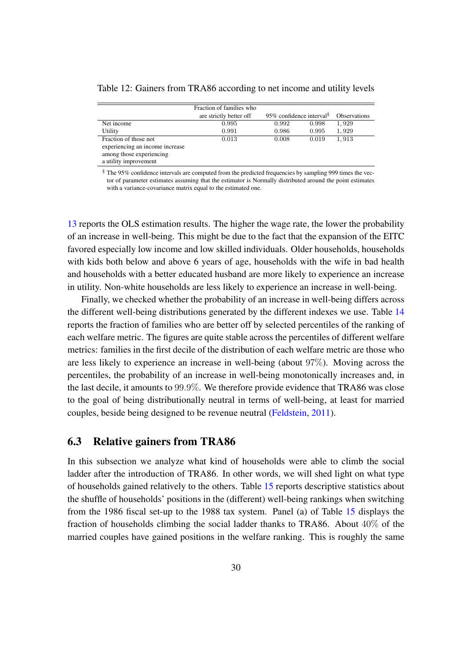<span id="page-32-0"></span>

| Table 12: Gainers from TRA86 according to net income and utility levels |  |
|-------------------------------------------------------------------------|--|
|-------------------------------------------------------------------------|--|

|                                 | Fraction of families who |                                      |       |                     |
|---------------------------------|--------------------------|--------------------------------------|-------|---------------------|
|                                 | are strictly better off  | 95% confidence interval <sup>§</sup> |       | <b>Observations</b> |
| Net income                      | 0.995                    | 0.992                                | 0.998 | 1,929               |
| Utility                         | 0.991                    | 0.986                                | 0.995 | 1,929               |
| Fraction of those not           | 0.013                    | 0.008                                | 0.019 | 1.913               |
| experiencing an income increase |                          |                                      |       |                     |
| among those experiencing        |                          |                                      |       |                     |
| a utility improvement           |                          |                                      |       |                     |

§ The 95% confidence intervals are computed from the predicted frequencies by sampling 999 times the vector of parameter estimates assuming that the estimator is Normally distributed around the point estimates with a variance-covariance matrix equal to the estimated one.

[13](#page-33-0) reports the OLS estimation results. The higher the wage rate, the lower the probability of an increase in well-being. This might be due to the fact that the expansion of the EITC favored especially low income and low skilled individuals. Older households, households with kids both below and above 6 years of age, households with the wife in bad health and households with a better educated husband are more likely to experience an increase in utility. Non-white households are less likely to experience an increase in well-being.

Finally, we checked whether the probability of an increase in well-being differs across the different well-being distributions generated by the different indexes we use. Table [14](#page-34-0) reports the fraction of families who are better off by selected percentiles of the ranking of each welfare metric. The figures are quite stable across the percentiles of different welfare metrics: families in the first decile of the distribution of each welfare metric are those who are less likely to experience an increase in well-being (about 97%). Moving across the percentiles, the probability of an increase in well-being monotonically increases and, in the last decile, it amounts to 99.9%. We therefore provide evidence that TRA86 was close to the goal of being distributionally neutral in terms of well-being, at least for married couples, beside being designed to be revenue neutral [\(Feldstein,](#page-45-8) [2011\)](#page-45-8).

#### 6.3 Relative gainers from TRA86

In this subsection we analyze what kind of households were able to climb the social ladder after the introduction of TRA86. In other words, we will shed light on what type of households gained relatively to the others. Table [15](#page-35-0) reports descriptive statistics about the shuffle of households' positions in the (different) well-being rankings when switching from the 1986 fiscal set-up to the 1988 tax system. Panel (a) of Table [15](#page-35-0) displays the fraction of households climbing the social ladder thanks to TRA86. About  $40\%$  of the married couples have gained positions in the welfare ranking. This is roughly the same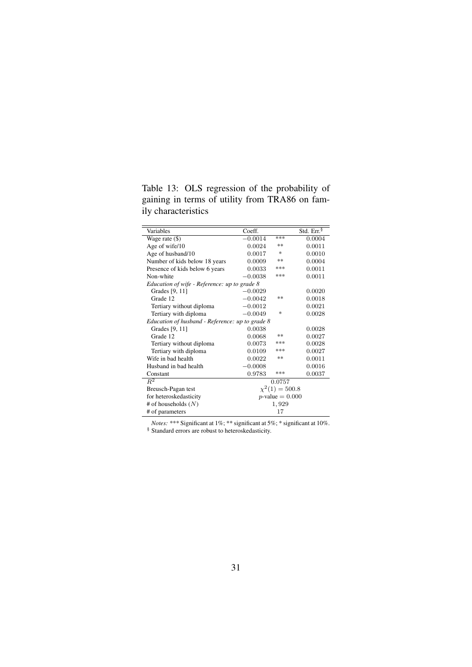<span id="page-33-0"></span>Table 13: OLS regression of the probability of gaining in terms of utility from TRA86 on family characteristics

| Variables                                       | Coeff.    |                     | Std. $Err^{\S}$ |
|-------------------------------------------------|-----------|---------------------|-----------------|
| Wage rate (\$)                                  | $-0.0014$ | ***                 | 0.0004          |
| Age of wife/10                                  | 0.0024    | **                  | 0.0011          |
| Age of husband/10                               | 0.0017    | 冰                   | 0.0010          |
| Number of kids below 18 years                   | 0.0009    | **                  | 0.0004          |
| Presence of kids below 6 years                  | 0.0033    | ***                 | 0.0011          |
| Non-white                                       | $-0.0038$ | ***                 | 0.0011          |
| Education of wife - Reference: up to grade 8    |           |                     |                 |
| Grades [9, 11]                                  | $-0.0029$ |                     | 0.0020          |
| Grade 12                                        | $-0.0042$ | **                  | 0.0018          |
| Tertiary without diploma                        | $-0.0012$ |                     | 0.0021          |
| Tertiary with diploma                           | $-0.0049$ | ×.                  | 0.0028          |
| Education of husband - Reference: up to grade 8 |           |                     |                 |
| Grades [9, 11]                                  | 0.0038    |                     | 0.0028          |
| Grade 12                                        | 0.0068    | **                  | 0.0027          |
| Tertiary without diploma                        | 0.0073    | ***                 | 0.0028          |
| Tertiary with diploma                           | 0.0109    | ***                 | 0.0027          |
| Wife in bad health                              | 0.0022    | **                  | 0.0011          |
| Husband in bad health                           | $-0.0008$ |                     | 0.0016          |
| Constant                                        | 0.9783    | ***                 | 0.0037          |
| $\overline{R^2}$                                |           | 0.0757              |                 |
| Breusch-Pagan test                              |           | $\chi^2(1) = 500.8$ |                 |
| for heteroskedasticity                          |           | $p$ -value = 0.000  |                 |
| # of households $(N)$                           |           | 1,929               |                 |
| # of parameters                                 |           | 17                  |                 |

*Notes:* \*\*\* Significant at 1%; \*\* significant at 5%; \* significant at 10%.

§ Standard errors are robust to heteroskedasticity.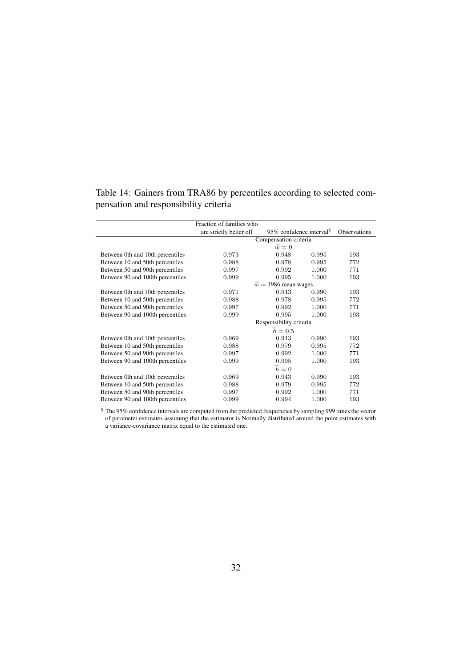|                                  | Fraction of families who |                                       |       |                     |  |  |
|----------------------------------|--------------------------|---------------------------------------|-------|---------------------|--|--|
|                                  | are strictly better off  | 95\% confidence interval <sup>§</sup> |       | <b>Observations</b> |  |  |
|                                  | Compensation criteria    |                                       |       |                     |  |  |
|                                  |                          | $\widetilde{w}=0$                     |       |                     |  |  |
| Between 0th and 10th percentiles | 0.973                    | 0.948                                 | 0.995 | 193                 |  |  |
| Between 10 and 50th percentiles  | 0.988                    | 0.978                                 | 0.995 | 772                 |  |  |
| Between 50 and 90th percentiles  | 0.997                    | 0.992                                 | 1.000 | 771                 |  |  |
| Between 90 and 100th percentiles | 0.999                    | 0.995                                 | 1.000 | 193                 |  |  |
|                                  |                          | $\tilde{w} = 1986$ mean wages         |       |                     |  |  |
| Between 0th and 10th percentiles | 0.971                    | 0.943                                 | 0.990 | 193                 |  |  |
| Between 10 and 50th percentiles  | 0.988                    | 0.978                                 | 0.995 | 772                 |  |  |
| Between 50 and 90th percentiles  | 0.997                    | 0.992                                 | 1.000 | 771                 |  |  |
| Between 90 and 100th percentiles | 0.999                    | 0.995                                 | 1.000 | 193                 |  |  |
|                                  |                          | Responsibility criteria               |       |                     |  |  |
|                                  |                          | $h=0.5$                               |       |                     |  |  |
| Between 0th and 10th percentiles | 0.969                    | 0.943                                 | 0.990 | 193                 |  |  |
| Between 10 and 50th percentiles  | 0.988                    | 0.979                                 | 0.995 | 772                 |  |  |
| Between 50 and 90th percentiles  | 0.997                    | 0.992                                 | 1.000 | 771                 |  |  |
| Between 90 and 100th percentiles | 0.999                    | 0.995                                 | 1.000 | 193                 |  |  |
|                                  | $h=0$                    |                                       |       |                     |  |  |
| Between 0th and 10th percentiles | 0.969                    | 0.943                                 | 0.990 | 193                 |  |  |
| Between 10 and 50th percentiles  | 0.988                    | 0.979                                 | 0.995 | 772                 |  |  |
| Between 50 and 90th percentiles  | 0.997                    | 0.992                                 | 1.000 | 771                 |  |  |
| Between 90 and 100th percentiles | 0.999                    | 0.994                                 | 1.000 | 193                 |  |  |

<span id="page-34-0"></span>Table 14: Gainers from TRA86 by percentiles according to selected compensation and responsibility criteria

§ The 95% confidence intervals are computed from the predicted frequencies by sampling 999 times the vector of parameter estimates assuming that the estimator is Normally distributed around the point estimates with a variance-covariance matrix equal to the estimated one.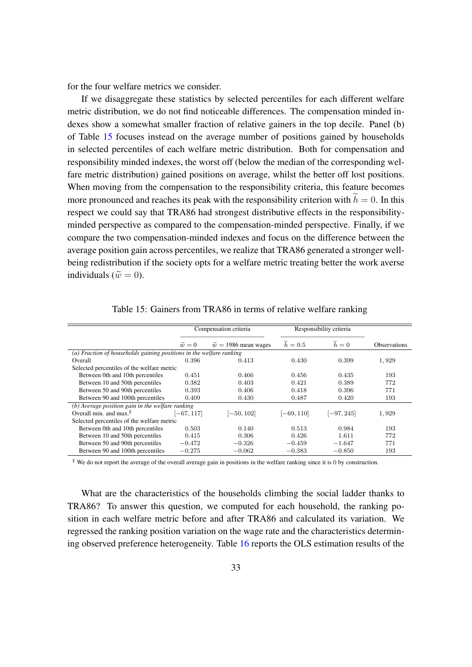for the four welfare metrics we consider.

If we disaggregate these statistics by selected percentiles for each different welfare metric distribution, we do not find noticeable differences. The compensation minded indexes show a somewhat smaller fraction of relative gainers in the top decile. Panel (b) of Table [15](#page-35-0) focuses instead on the average number of positions gained by households in selected percentiles of each welfare metric distribution. Both for compensation and responsibility minded indexes, the worst off (below the median of the corresponding welfare metric distribution) gained positions on average, whilst the better off lost positions. When moving from the compensation to the responsibility criteria, this feature becomes more pronounced and reaches its peak with the responsibility criterion with  $\tilde{h} = 0$ . In this respect we could say that TRA86 had strongest distributive effects in the responsibilityminded perspective as compared to the compensation-minded perspective. Finally, if we compare the two compensation-minded indexes and focus on the difference between the average position gain across percentiles, we realize that TRA86 generated a stronger wellbeing redistribution if the society opts for a welfare metric treating better the work averse individuals ( $\tilde{w} = 0$ ).

<span id="page-35-0"></span>

|                                                                     |                                                    | Compensation criteria         |              | Responsibility criteria |                     |  |
|---------------------------------------------------------------------|----------------------------------------------------|-------------------------------|--------------|-------------------------|---------------------|--|
|                                                                     | $\widetilde{w}=0$                                  | $\tilde{w} = 1986$ mean wages | $h=0.5$      | $h=0$                   | <b>Observations</b> |  |
| (a) Fraction of households gaining positions in the welfare ranking |                                                    |                               |              |                         |                     |  |
| Overall                                                             | 0.396                                              | 0.413                         | 0.430        | 0.399                   | 1,929               |  |
| Selected percentiles of the welfare metric                          |                                                    |                               |              |                         |                     |  |
| Between 0th and 10th percentiles                                    | 0.451                                              | 0.466                         | 0.456        | 0.435                   | 193                 |  |
| Between 10 and 50th percentiles                                     | 0.382                                              | 0.403                         | 0.421        | 0.389                   | 772                 |  |
| Between 50 and 90th percentiles                                     | 0.393                                              | 0.406                         | 0.418        | 0.396                   | 771                 |  |
| Between 90 and 100th percentiles                                    | 0.409                                              | 0.430                         | 0.487        | 0.420                   | 193                 |  |
|                                                                     | $(b)$ Average position gain in the welfare ranking |                               |              |                         |                     |  |
| Overall min. and max. $\frac{8}{3}$                                 | $[-67, 117]$                                       | $[-50, 102]$                  | $[-69, 110]$ | $[-97, 245]$            | 1,929               |  |
| Selected percentiles of the welfare metric                          |                                                    |                               |              |                         |                     |  |
| Between 0th and 10th percentiles                                    | 0.503                                              | 0.140                         | 0.513        | 0.984                   | 193                 |  |
| Between 10 and 50th percentiles                                     | 0.415                                              | 0.306                         | 0.426        | 1.611                   | 772                 |  |
| Between 50 and 90th percentiles                                     | $-0.472$                                           | $-0.326$                      | $-0.459$     | $-1.647$                | 771                 |  |
| Between 90 and 100th percentiles                                    | $-0.275$                                           | $-0.062$                      | $-0.383$     | $-0.850$                | 193                 |  |

Table 15: Gainers from TRA86 in terms of relative welfare ranking

§ We do not report the average of the overall average gain in positions in the welfare ranking since it is 0 by construction.

What are the characteristics of the households climbing the social ladder thanks to TRA86? To answer this question, we computed for each household, the ranking position in each welfare metric before and after TRA86 and calculated its variation. We regressed the ranking position variation on the wage rate and the characteristics determining observed preference heterogeneity. Table [16](#page-37-0) reports the OLS estimation results of the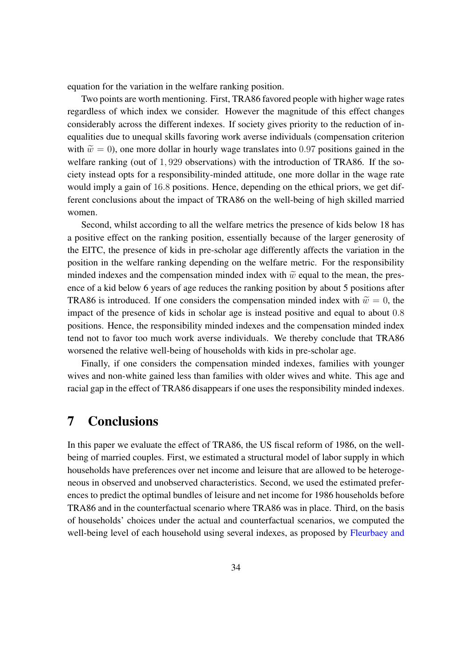equation for the variation in the welfare ranking position.

Two points are worth mentioning. First, TRA86 favored people with higher wage rates regardless of which index we consider. However the magnitude of this effect changes considerably across the different indexes. If society gives priority to the reduction of inequalities due to unequal skills favoring work averse individuals (compensation criterion with  $\tilde{w} = 0$ , one more dollar in hourly wage translates into 0.97 positions gained in the welfare ranking (out of 1, 929 observations) with the introduction of TRA86. If the society instead opts for a responsibility-minded attitude, one more dollar in the wage rate would imply a gain of 16.8 positions. Hence, depending on the ethical priors, we get different conclusions about the impact of TRA86 on the well-being of high skilled married women.

Second, whilst according to all the welfare metrics the presence of kids below 18 has a positive effect on the ranking position, essentially because of the larger generosity of the EITC, the presence of kids in pre-scholar age differently affects the variation in the position in the welfare ranking depending on the welfare metric. For the responsibility minded indexes and the compensation minded index with  $\tilde{w}$  equal to the mean, the presence of a kid below 6 years of age reduces the ranking position by about 5 positions after TRA86 is introduced. If one considers the compensation minded index with  $\tilde{w} = 0$ , the impact of the presence of kids in scholar age is instead positive and equal to about 0.8 positions. Hence, the responsibility minded indexes and the compensation minded index tend not to favor too much work averse individuals. We thereby conclude that TRA86 worsened the relative well-being of households with kids in pre-scholar age.

Finally, if one considers the compensation minded indexes, families with younger wives and non-white gained less than families with older wives and white. This age and racial gap in the effect of TRA86 disappears if one uses the responsibility minded indexes.

### <span id="page-36-0"></span>7 Conclusions

In this paper we evaluate the effect of TRA86, the US fiscal reform of 1986, on the wellbeing of married couples. First, we estimated a structural model of labor supply in which households have preferences over net income and leisure that are allowed to be heterogeneous in observed and unobserved characteristics. Second, we used the estimated preferences to predict the optimal bundles of leisure and net income for 1986 households before TRA86 and in the counterfactual scenario where TRA86 was in place. Third, on the basis of households' choices under the actual and counterfactual scenarios, we computed the well-being level of each household using several indexes, as proposed by [Fleurbaey and](#page-45-6)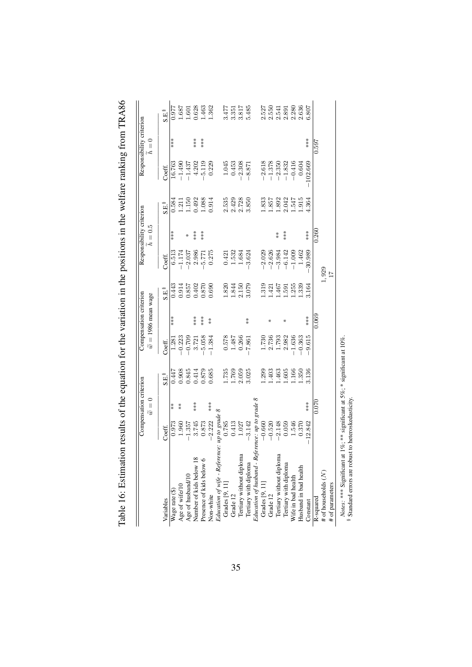|                                                                                                                               |                                    | Compensation criterion   |                     |          | Compensation criterion       |                     |                 | Responsibility criterion |                     |            | Responsibility criterion |                     |
|-------------------------------------------------------------------------------------------------------------------------------|------------------------------------|--------------------------|---------------------|----------|------------------------------|---------------------|-----------------|--------------------------|---------------------|------------|--------------------------|---------------------|
|                                                                                                                               |                                    | $= 0$<br>$\widetilde{a}$ |                     |          | $\tilde{w} = 1986$ mean wage |                     |                 | $h = 0.5$                |                     |            | $\widetilde{h}=0$        |                     |
| Variables                                                                                                                     | Coeff.                             |                          | $S.E.$ <sup>§</sup> | Coeff.   |                              | $S.E.$ <sup>§</sup> | Coeff.          |                          | $S.E.$ <sup>§</sup> | Coeff.     |                          | $S.E.$ <sup>8</sup> |
| Wage rate (\$)                                                                                                                | 0.973                              | $\stackrel{*}{*}$        | 0.447               | 1.281    | ***                          | 0.443               | 6.513           | ***                      | 0.584               | 16.763     | ***                      | 0.977               |
|                                                                                                                               | 1.960                              | $*$                      | 0.908               | $-0.223$ |                              | $\rm 0.914$         | $-1.174$        |                          | 1.211               | $-1.490$   |                          | 1.687               |
| Age of wife/10<br>Age of husband/10                                                                                           | $-1.357$                           |                          | 0.845               | $-0.709$ |                              | 0.857               | $-2.037$        | ∗                        | 1.50                | $-1.437$   |                          | $-601$              |
| Number of kids below 18                                                                                                       | 3.745                              | ***                      | 0.414               | 3.721    | $***$                        | 0.402               | 2.986           | ***                      | 0.492               | 4.202      | ***                      | 0.628               |
| Presence of kids below 6                                                                                                      | 0.873                              |                          | 0.879               | $-5.058$ | $**\ast$                     | 0.870               | 5.771           | $***$                    | 1.088               | $-5.119$   | $***$                    | 1.463               |
| Non-white                                                                                                                     | $-2.222$                           | ***                      | 0.685               | $-1.384$ | $*$                          | 0.690               | 0.275           |                          | 0.914               | 0.229      |                          | 1.362               |
| Education of wife - Reference: up to grade 8                                                                                  |                                    |                          |                     |          |                              |                     |                 |                          |                     |            |                          |                     |
| Grades [9, 11]                                                                                                                | 0.785                              |                          | 1.735               | 0.578    |                              | 1.820               | 0.421           |                          | 2.535               | 1.045      |                          | 3.477               |
| Grade 12                                                                                                                      | 0.413                              |                          | 1.769               | 1.487    |                              | 1.844               | 1.532           |                          | 2.429               | 0.453      |                          | 3.351               |
|                                                                                                                               | $1.027\,$                          |                          | 2.059               | 0.266    |                              | 2.150               | 1.684           |                          | 2.728               | $-2.308$   |                          | 3.817               |
| Tertiary without diploma<br>Tertiary with diploma                                                                             | $-3.142$                           |                          | 3.025               | .861     | $*$                          | 3.079               | $-3.624$        |                          | 3.850               | $-8.87$    |                          | 5.485               |
| Education of husband - Reference: up to grade 8                                                                               |                                    |                          |                     |          |                              |                     |                 |                          |                     |            |                          |                     |
| Grades [9, 11]                                                                                                                | $-0.660$                           |                          | .299                | 1.730    |                              | .319                | $-2.029$        |                          | 1.833               | $-2.618$   |                          | 2.527               |
| Grade 12<br>Tertiary without diploma                                                                                          | $-0.520$                           |                          | 1.403               | 2.736    | ⋇                            | $-421$              | $-2.626$        |                          | 1.857               | $-1.378$   |                          | 2.550               |
|                                                                                                                               | $-2.148$                           |                          | 1.463               | 1.793    |                              | .467                | $-3.984$        | $*$                      | 1.892               | $-2.350$   |                          | 2.541               |
| Tertiary with diploma<br>Wife in bad health                                                                                   | 0.059                              |                          | .605                | 2.982    | ∗                            | <b>195</b> .        | $-6.142$        | ***                      | 2.042               | $-1.832$   |                          | 2.891               |
|                                                                                                                               | 1.546                              |                          | .166                | $-1.636$ |                              | .255                | $-1.009$        |                          | 1.547               | $-0.416$   |                          | 2.280               |
| Husband in bad health                                                                                                         | 0.370                              |                          | .350                | $-0.363$ |                              | .339                | 1.462           |                          | 1.915               | 0.604      |                          | 2.636               |
| Constant                                                                                                                      | 12.842<br>$\overline{\phantom{a}}$ | ***                      | 3.136               | $-9.615$ | ***                          | 3.164               | $-30.989$       | ***                      | 4.364               | $-102.669$ | ***                      | 6.807               |
| R-squared                                                                                                                     |                                    | 0.070                    |                     |          | 0.069                        |                     |                 | 0.260                    |                     |            | 0.597                    |                     |
| # of households (N)                                                                                                           |                                    |                          |                     |          |                              |                     | $1,929$<br>$17$ |                          |                     |            |                          |                     |
| # of parameters                                                                                                               |                                    |                          |                     |          |                              |                     |                 |                          |                     |            |                          |                     |
| Notes: *** Significant at 1%; ** significant at 5%; * significant at 10%.<br>Standard errors are robust to heteroskedasticity |                                    |                          |                     |          |                              |                     |                 |                          |                     |            |                          |                     |

<span id="page-37-0"></span>Table 16: Estimation results of the equation for the variation in the positions in the welfare ranking from TRA86 Table 16: Estimation results of the equation for the variation in the positions in the welfare ranking from TRA86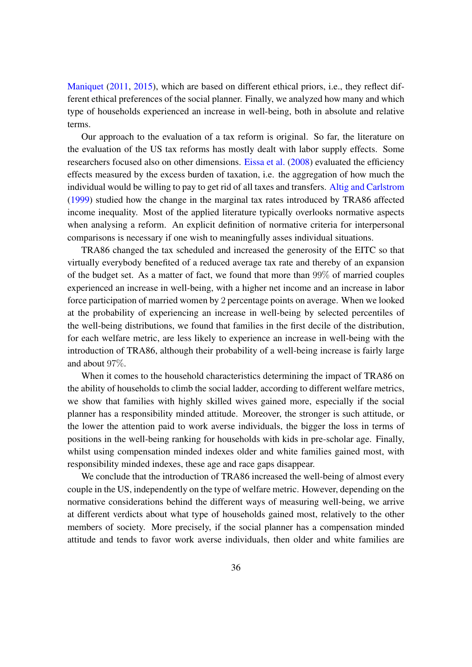[Maniquet](#page-45-6) [\(2011,](#page-45-6) [2015\)](#page-45-12), which are based on different ethical priors, i.e., they reflect different ethical preferences of the social planner. Finally, we analyzed how many and which type of households experienced an increase in well-being, both in absolute and relative terms.

Our approach to the evaluation of a tax reform is original. So far, the literature on the evaluation of the US tax reforms has mostly dealt with labor supply effects. Some researchers focused also on other dimensions. [Eissa et al.](#page-45-0) [\(2008\)](#page-45-0) evaluated the efficiency effects measured by the excess burden of taxation, i.e. the aggregation of how much the individual would be willing to pay to get rid of all taxes and transfers. [Altig and Carlstrom](#page-44-0) [\(1999\)](#page-44-0) studied how the change in the marginal tax rates introduced by TRA86 affected income inequality. Most of the applied literature typically overlooks normative aspects when analysing a reform. An explicit definition of normative criteria for interpersonal comparisons is necessary if one wish to meaningfully asses individual situations.

TRA86 changed the tax scheduled and increased the generosity of the EITC so that virtually everybody benefited of a reduced average tax rate and thereby of an expansion of the budget set. As a matter of fact, we found that more than 99% of married couples experienced an increase in well-being, with a higher net income and an increase in labor force participation of married women by 2 percentage points on average. When we looked at the probability of experiencing an increase in well-being by selected percentiles of the well-being distributions, we found that families in the first decile of the distribution, for each welfare metric, are less likely to experience an increase in well-being with the introduction of TRA86, although their probability of a well-being increase is fairly large and about 97%.

When it comes to the household characteristics determining the impact of TRA86 on the ability of households to climb the social ladder, according to different welfare metrics, we show that families with highly skilled wives gained more, especially if the social planner has a responsibility minded attitude. Moreover, the stronger is such attitude, or the lower the attention paid to work averse individuals, the bigger the loss in terms of positions in the well-being ranking for households with kids in pre-scholar age. Finally, whilst using compensation minded indexes older and white families gained most, with responsibility minded indexes, these age and race gaps disappear.

We conclude that the introduction of TRA86 increased the well-being of almost every couple in the US, independently on the type of welfare metric. However, depending on the normative considerations behind the different ways of measuring well-being, we arrive at different verdicts about what type of households gained most, relatively to the other members of society. More precisely, if the social planner has a compensation minded attitude and tends to favor work averse individuals, then older and white families are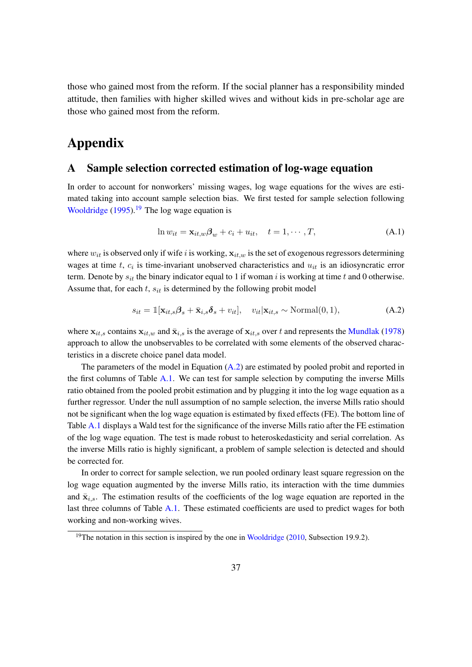those who gained most from the reform. If the social planner has a responsibility minded attitude, then families with higher skilled wives and without kids in pre-scholar age are those who gained most from the reform.

# Appendix

#### <span id="page-39-0"></span>A Sample selection corrected estimation of log-wage equation

In order to account for nonworkers' missing wages, log wage equations for the wives are estimated taking into account sample selection bias. We first tested for sample selection following [Wooldridge](#page-46-12)  $(1995)$ .<sup>[19](#page-39-1)</sup> The log wage equation is

$$
\ln w_{it} = \mathbf{x}_{it,w} \boldsymbol{\beta}_w + c_i + u_{it}, \quad t = 1, \cdots, T,
$$
\n(A.1)

where  $w_{it}$  is observed only if wife i is working,  $\mathbf{x}_{it,w}$  is the set of exogenous regressors determining wages at time  $t$ ,  $c_i$  is time-invariant unobserved characteristics and  $u_{it}$  is an idiosyncratic error term. Denote by  $s_{it}$  the binary indicator equal to 1 if woman i is working at time t and 0 otherwise. Assume that, for each  $t$ ,  $s_{it}$  is determined by the following probit model

<span id="page-39-2"></span>
$$
s_{it} = \mathbb{1}[\mathbf{x}_{it,s}\boldsymbol{\beta}_s + \bar{\mathbf{x}}_{i,s}\boldsymbol{\delta}_s + v_{it}], \quad v_{it}|\mathbf{x}_{it,s} \sim \text{Normal}(0,1), \tag{A.2}
$$

where  $x_{it,s}$  contains  $x_{it,w}$  and  $\bar{x}_{i,s}$  is the average of  $x_{it,s}$  over t and represents the [Mundlak](#page-46-13) [\(1978\)](#page-46-13) approach to allow the unobservables to be correlated with some elements of the observed characteristics in a discrete choice panel data model.

The parameters of the model in Equation [\(A.2\)](#page-39-2) are estimated by pooled probit and reported in the first columns of Table  $A.1$ . We can test for sample selection by computing the inverse Mills ratio obtained from the pooled probit estimation and by plugging it into the log wage equation as a further regressor. Under the null assumption of no sample selection, the inverse Mills ratio should not be significant when the log wage equation is estimated by fixed effects (FE). The bottom line of Table [A.1](#page-40-0) displays a Wald test for the significance of the inverse Mills ratio after the FE estimation of the log wage equation. The test is made robust to heteroskedasticity and serial correlation. As the inverse Mills ratio is highly significant, a problem of sample selection is detected and should be corrected for.

In order to correct for sample selection, we run pooled ordinary least square regression on the log wage equation augmented by the inverse Mills ratio, its interaction with the time dummies and  $\bar{\mathbf{x}}_{i,s}$ . The estimation results of the coefficients of the log wage equation are reported in the last three columns of Table [A.1.](#page-40-0) These estimated coefficients are used to predict wages for both working and non-working wives.

<span id="page-39-1"></span><sup>&</sup>lt;sup>19</sup>The notation in this section is inspired by the one in [Wooldridge](#page-46-14) [\(2010,](#page-46-14) Subsection 19.9.2).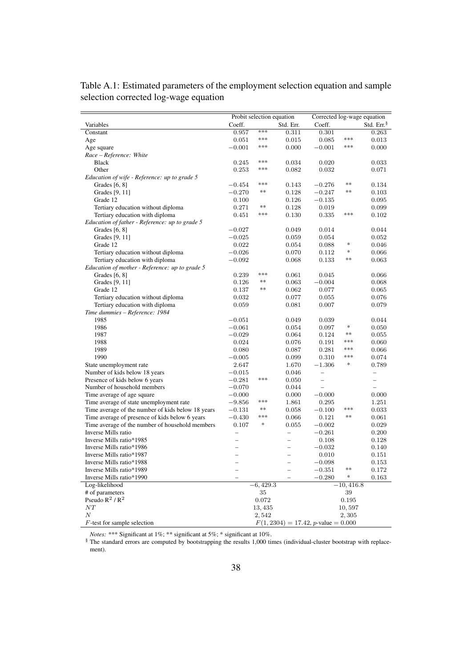|                                                   | Probit selection equation     |               |                                                      | Corrected log-wage equation |                                   |                          |
|---------------------------------------------------|-------------------------------|---------------|------------------------------------------------------|-----------------------------|-----------------------------------|--------------------------|
| Variables                                         | Coeff.                        |               | Std. Err.                                            | Coeff.                      |                                   | Std. Err. <sup>§</sup>   |
| Constant                                          | 0.957                         | ***           | 0.311                                                | 0.301                       |                                   | 0.263                    |
| Age                                               | 0.051                         | ***           | 0.015                                                | 0.085                       | $* * *$                           | 0.013                    |
| Age square                                        | $-0.001$                      | ***           | 0.000                                                | $-0.001$                    | ***                               | 0.000                    |
| Race - Reference: White                           |                               |               |                                                      |                             |                                   |                          |
| <b>Black</b>                                      | 0.245                         | ***           | 0.034                                                | 0.020                       |                                   | 0.033                    |
| Other                                             | 0.253                         | ***           | 0.082                                                | 0.032                       |                                   | 0.071                    |
| Education of wife - Reference: up to grade 5      |                               |               |                                                      |                             |                                   |                          |
| Grades [6, 8]                                     | $-0.454$                      | ***           | 0.143                                                | $-0.276$                    | **                                | 0.134                    |
| Grades [9, 11]                                    | $-0.270$                      | **            | 0.128                                                | $-0.247$                    | **                                | 0.103                    |
| Grade 12                                          | 0.100                         |               | 0.126                                                | $-0.135$                    |                                   | 0.095                    |
| Tertiary education without diploma                | 0.271                         | **            | 0.128                                                | 0.019                       |                                   | 0.099                    |
| Tertiary education with diploma                   | 0.451                         | ***           | 0.130                                                | 0.335                       | ***                               | 0.102                    |
| Education of father - Reference: up to grade 5    |                               |               |                                                      |                             |                                   |                          |
| Grades [6, 8]                                     | $-0.027$                      |               | 0.049                                                | 0.014                       |                                   | 0.044                    |
| Grades [9, 11]                                    | $-0.025$                      |               | 0.059                                                | 0.054                       |                                   | 0.052                    |
| Grade 12                                          | 0.022                         |               | 0.054                                                | 0.088                       | $\frac{d\mathbf{r}}{d\mathbf{r}}$ | 0.046                    |
| Tertiary education without diploma                | $-0.026$                      |               | 0.070                                                | 0.112                       | $\ast$                            | 0.066                    |
| Tertiary education with diploma                   | $-0.092$                      |               | 0.068                                                | 0.133                       | **                                | 0.063                    |
| Education of mother - Reference: up to grade 5    |                               |               |                                                      |                             |                                   |                          |
| Grades $[6, 8]$                                   | 0.239                         | ***           | 0.061                                                | 0.045                       |                                   | 0.066                    |
| Grades [9, 11]                                    | 0.126                         | **            | 0.063                                                | $-0.004$                    |                                   | 0.068                    |
| Grade 12                                          | 0.137                         | **            | 0.062                                                | 0.077                       |                                   | 0.065                    |
| Tertiary education without diploma                | 0.032                         |               | 0.077                                                | 0.055                       |                                   | 0.076                    |
| Tertiary education with diploma                   | 0.059                         |               | 0.081                                                | 0.007                       |                                   | 0.079                    |
| Time dummies - Reference: 1984                    |                               |               |                                                      |                             |                                   |                          |
| 1985                                              | $-0.051$                      |               | 0.049                                                | 0.039                       |                                   | 0.044                    |
| 1986                                              | $-0.061$                      |               | 0.054                                                | 0.097                       | $\frac{d\mathbf{r}}{d\mathbf{r}}$ | 0.050                    |
| 1987                                              | $-0.029$                      |               | 0.064                                                | 0.124                       | **                                | 0.055                    |
| 1988                                              | 0.024                         |               | 0.076                                                | 0.191                       | ***                               | 0.060                    |
| 1989                                              | 0.080                         |               | 0.087                                                | 0.281                       | ***                               | 0.066                    |
| 1990                                              | $-0.005$                      |               | 0.099                                                | 0.310                       | ***                               | 0.074                    |
| State unemployment rate                           | 2.647                         |               | 1.670                                                | $^{-1.306}$                 | $\frac{1}{2}$                     | 0.789                    |
| Number of kids below 18 years                     | $-0.015$                      |               | 0.046                                                | $\qquad \qquad -$           |                                   | $\overline{\phantom{0}}$ |
| Presence of kids below 6 years                    | $-0.281$                      | ***           | 0.050                                                | $\overline{\phantom{0}}$    |                                   | $\overline{\phantom{0}}$ |
| Number of household members                       | $-0.070$                      |               | 0.044                                                |                             |                                   | $\overline{\phantom{0}}$ |
| Time average of age square                        | $-0.000$                      |               | 0.000                                                | $-0.000$                    |                                   | 0.000                    |
| Time average of state unemployment rate           | $-9.856$                      | ***           | 1.861                                                | 0.295                       |                                   | 1.251                    |
| Time average of the number of kids below 18 years | $-0.131$                      | **            | 0.058                                                | $-0.100$                    | ***                               | 0.033                    |
| Time average of presence of kids below 6 years    | $-0.430$                      | ***           | 0.066                                                | 0.121                       | **                                | 0.061                    |
| Time average of the number of household members   | 0.107                         | $\frac{1}{2}$ | 0.055                                                | $-0.002$                    |                                   | 0.029                    |
| Inverse Mills ratio                               |                               |               |                                                      | $-0.261$                    |                                   | 0.200                    |
| Inverse Mills ratio*1985                          | —<br>$\overline{\phantom{0}}$ |               | $\overline{\phantom{0}}$                             | 0.108                       |                                   | 0.128                    |
| Inverse Mills ratio*1986                          |                               |               | $\overline{\phantom{0}}$                             |                             |                                   |                          |
| Inverse Mills ratio*1987                          | $\overline{\phantom{0}}$      |               |                                                      | $-0.032$                    |                                   | 0.140                    |
| Inverse Mills ratio*1988                          | $\overline{a}$                |               | $\overline{\phantom{0}}$<br>$\overline{\phantom{0}}$ | 0.010                       |                                   | 0.151<br>0.153           |
|                                                   |                               |               |                                                      | $-0.098$                    | **                                |                          |
| Inverse Mills ratio*1989                          |                               |               |                                                      | $-0.351$                    | $\ast$                            | 0.172                    |
| Inverse Mills ratio*1990                          |                               |               |                                                      | $-0.280$                    |                                   | 0.163                    |
| Log-likelihood                                    |                               | $-6,429.3$    |                                                      |                             | $-10, 416.8$                      |                          |
| # of parameters                                   |                               | 35            |                                                      |                             | 39                                |                          |
| Pseudo $R^2/R^2$                                  |                               | 0.072         |                                                      |                             | 0.195                             |                          |
| ${\cal NT}$                                       |                               | 13, 435       |                                                      |                             | 10,597                            |                          |
| $\boldsymbol{N}$                                  |                               | 2,542         |                                                      |                             | 2,305                             |                          |
| $F$ -test for sample selection                    |                               |               | $F(1, 2304) = 17.42$ , <i>p</i> -value = 0.000       |                             |                                   |                          |

<span id="page-40-0"></span>Table A.1: Estimated parameters of the employment selection equation and sample selection corrected log-wage equation

*Notes:* \*\*\* Significant at 1%; \*\* significant at 5%; \* significant at 10%.

<sup>§</sup> The standard errors are computed by bootstrapping the results 1,000 times (individual-cluster bootstrap with replacement).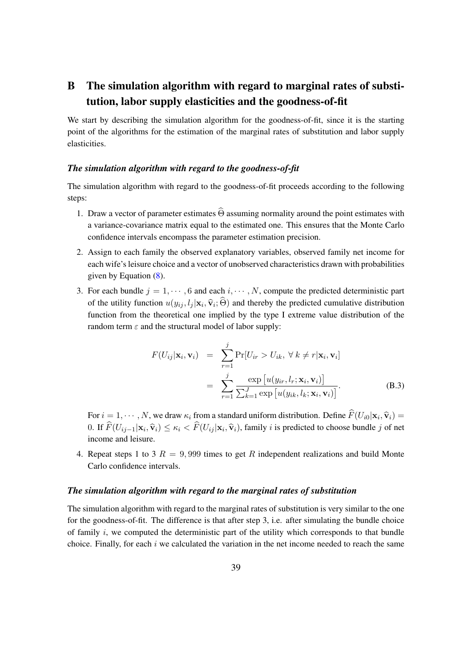# <span id="page-41-0"></span>B The simulation algorithm with regard to marginal rates of substitution, labor supply elasticities and the goodness-of-fit

We start by describing the simulation algorithm for the goodness-of-fit, since it is the starting point of the algorithms for the estimation of the marginal rates of substitution and labor supply elasticities.

#### *The simulation algorithm with regard to the goodness-of-fit*

The simulation algorithm with regard to the goodness-of-fit proceeds according to the following steps:

- 1. Draw a vector of parameter estimates  $\widehat{\Theta}$  assuming normality around the point estimates with a variance-covariance matrix equal to the estimated one. This ensures that the Monte Carlo confidence intervals encompass the parameter estimation precision.
- 2. Assign to each family the observed explanatory variables, observed family net income for each wife's leisure choice and a vector of unobserved characteristics drawn with probabilities given by Equation [\(8\)](#page-15-2).
- 3. For each bundle  $j = 1, \dots, 6$  and each  $i, \dots, N$ , compute the predicted deterministic part of the utility function  $u(y_{ij}, l_j | \mathbf{x}_i, \hat{\mathbf{v}}_i; \Theta)$  and thereby the predicted cumulative distribution<br>factors from the thermatical and include the theory I returns when distribution of the function from the theoretical one implied by the type I extreme value distribution of the random term  $\varepsilon$  and the structural model of labor supply:

<span id="page-41-1"></span>
$$
F(U_{ij}|\mathbf{x}_i, \mathbf{v}_i) = \sum_{r=1}^{j} \Pr[U_{ir} > U_{ik}, \forall k \neq r | \mathbf{x}_i, \mathbf{v}_i]
$$
  

$$
= \sum_{r=1}^{j} \frac{\exp[u(y_{ir}, l_r; \mathbf{x}_i, \mathbf{v}_i)]}{\sum_{k=1}^{J} \exp[u(y_{ik}, l_k; \mathbf{x}_i, \mathbf{v}_i)]}.
$$
 (B.3)

For  $i = 1, \dots, N$ , we draw  $\kappa_i$  from a standard uniform distribution. Define  $F(U_{i0}|\mathbf{x}_i, \hat{\mathbf{v}}_i) =$ 0. If  $F(U_{ij-1}|\mathbf{x}_i, \hat{\mathbf{v}}_i)$  ≤  $\kappa_i$  <  $F(U_{ij}|\mathbf{x}_i, \hat{\mathbf{v}}_i)$ , family *i* is predicted to choose bundle *j* of net income and leisure.

4. Repeat steps 1 to 3  $R = 9,999$  times to get R independent realizations and build Monte Carlo confidence intervals.

#### *The simulation algorithm with regard to the marginal rates of substitution*

The simulation algorithm with regard to the marginal rates of substitution is very similar to the one for the goodness-of-fit. The difference is that after step 3, i.e. after simulating the bundle choice of family  $i$ , we computed the deterministic part of the utility which corresponds to that bundle choice. Finally, for each  $i$  we calculated the variation in the net income needed to reach the same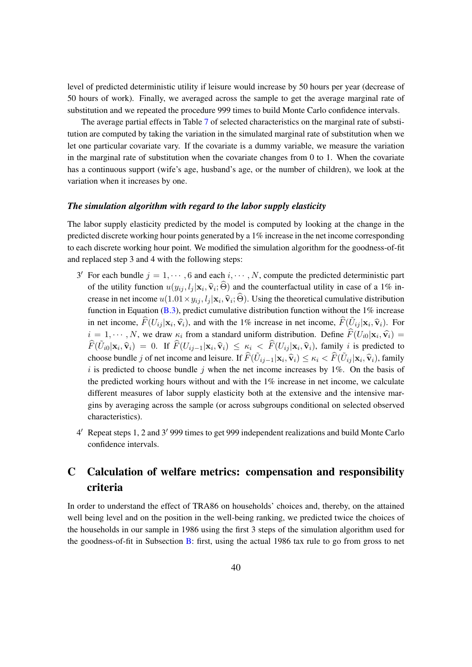level of predicted deterministic utility if leisure would increase by 50 hours per year (decrease of 50 hours of work). Finally, we averaged across the sample to get the average marginal rate of substitution and we repeated the procedure 999 times to build Monte Carlo confidence intervals.

The average partial effects in Table [7](#page-25-0) of selected characteristics on the marginal rate of substitution are computed by taking the variation in the simulated marginal rate of substitution when we let one particular covariate vary. If the covariate is a dummy variable, we measure the variation in the marginal rate of substitution when the covariate changes from  $0$  to  $1$ . When the covariate has a continuous support (wife's age, husband's age, or the number of children), we look at the variation when it increases by one.

#### *The simulation algorithm with regard to the labor supply elasticity*

The labor supply elasticity predicted by the model is computed by looking at the change in the predicted discrete working hour points generated by a 1% increase in the net income corresponding to each discrete working hour point. We modified the simulation algorithm for the goodness-of-fit and replaced step 3 and 4 with the following steps:

- 3' For each bundle  $j = 1, \dots, 6$  and each  $i, \dots, N$ , compute the predicted deterministic part of the utility function  $u(y_{ij}, l_j | \mathbf{x}_i, \hat{\mathbf{v}}_i; \Theta)$  and the counterfactual utility in case of a 1% in-<br>space is not in any  $(1, 0, 1)$ . crease in net income  $u(1.01 \times y_{ij}, l_j | \mathbf{x}_i, \hat{\mathbf{v}}_i; \Theta)$ . Using the theoretical cumulative distribution function in Equation  $(B.3)$ , predict cumulative distribution function without the 1% increase in net income,  $\widehat{F}(U_{ij} | \mathbf{x}_i, \widehat{\mathbf{v}}_i)$ , and with the 1% increase in net income,  $\widehat{F}(\widetilde{U}_{ij} | \mathbf{x}_i, \widehat{\mathbf{v}}_i)$ . For  $i = 1, \dots, N$ , we draw  $\kappa_i$  from a standard uniform distribution. Define  $F(U_{i0}|\mathbf{x}_i, \hat{\mathbf{v}}_i) = \hat{E}(\tilde{U}_i|\mathbf{x}_i, \hat{\mathbf{v}}_i)$  $\widehat{F}(\widetilde{U}_{i0}|\mathbf{x}_i, \widehat{\mathbf{v}}_i) = 0$ . If  $\widehat{F}(U_{ij-1}|\mathbf{x}_i, \widehat{\mathbf{v}}_i) \leq \kappa_i < \widehat{F}(U_{ij}|\mathbf{x}_i, \widehat{\mathbf{v}}_i)$ , family *i* is predicted to choose bundle j of net income and leisure. If  $\widehat{F}(\tilde{U}_{ij-1}|\mathbf{x}_i, \widehat{\mathbf{v}}_i) \leq \kappa_i < \widehat{F}(\tilde{U}_{ij}|\mathbf{x}_i, \widehat{\mathbf{v}}_i)$ , family i is predicted to choose bundle j when the net income increases by  $1\%$ . On the basis of the predicted working hours without and with the 1% increase in net income, we calculate different measures of labor supply elasticity both at the extensive and the intensive margins by averaging across the sample (or across subgroups conditional on selected observed characteristics).
- 4' Repeat steps 1, 2 and 3' 999 times to get 999 independent realizations and build Monte Carlo confidence intervals.

### <span id="page-42-0"></span>C Calculation of welfare metrics: compensation and responsibility criteria

In order to understand the effect of TRA86 on households' choices and, thereby, on the attained well being level and on the position in the well-being ranking, we predicted twice the choices of the households in our sample in 1986 using the first 3 steps of the simulation algorithm used for the goodness-of-fit in Subsection [B:](#page-41-0) first, using the actual 1986 tax rule to go from gross to net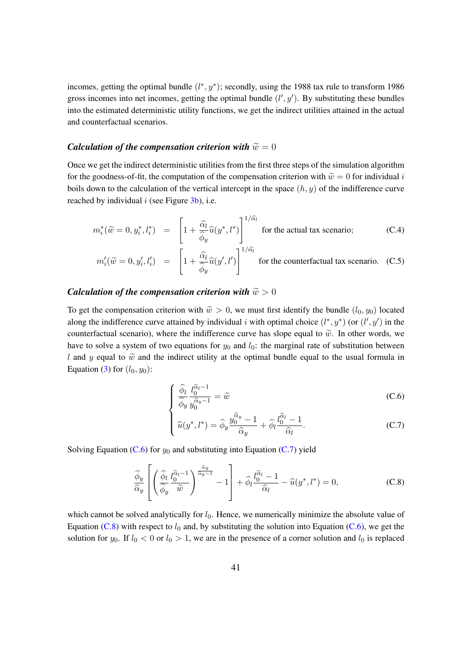incomes, getting the optimal bundle  $(l^*, y^*)$ ; secondly, using the 1988 tax rule to transform 1986 gross incomes into net incomes, getting the optimal bundle  $(l', y')$ . By substituting these bundles into the estimated deterministic utility functions, we get the indirect utilities attained in the actual and counterfactual scenarios.

#### *Calculation of the compensation criterion with*  $\widetilde{w} = 0$

Once we get the indirect deterministic utilities from the first three steps of the simulation algorithm for the goodness-of-fit, the computation of the compensation criterion with  $\tilde{w} = 0$  for individual i boils down to the calculation of the vertical intercept in the space  $(h, y)$  of the indifference curve reached by individual  $i$  (see Figure  $3b$ ), i.e.

$$
m_i^*(\widetilde{w} = 0, y_i^*, l_i^*) = \left[1 + \frac{\widehat{\alpha}_l}{\widehat{\phi}_y} \widehat{u}(y^*, l^*)\right]^{1/\widehat{\alpha}_l}
$$
 for the actual tax scenario; (C.4)

$$
m_i'(\widetilde{w} = 0, y_i', l_i') = \left[1 + \frac{\widehat{\alpha}_l}{\widehat{\phi}_y}\widehat{u}(y', l')\right]^{1/\widehat{\alpha}_l}
$$
 for the counterfactual tax scenario. (C.5)

#### <span id="page-43-0"></span>*Calculation of the compensation criterion with*  $\widetilde{w} > 0$

To get the compensation criterion with  $\tilde{w} > 0$ , we must first identify the bundle  $(l_0, y_0)$  located along the indifference curve attained by individual i with optimal choice  $(l^*, y^*)$  (or  $(l', y')$  in the counterfactual scenario), where the indifference curve has slope equal to  $\tilde{w}$ . In other words, we have to solve a system of two equations for  $y_0$  and  $l_0$ : the marginal rate of substitution between l and y equal to  $\tilde{w}$  and the indirect utility at the optimal bundle equal to the usual formula in Equation [\(3\)](#page-13-0) for  $(l_0, y_0)$ :

$$
\begin{cases} \frac{\widehat{\phi}_l}{\widehat{\phi}_y} \frac{l_0^{\widehat{\alpha}_l - 1}}{y_0^{\widehat{\alpha}_y - 1}} = \widetilde{w} \end{cases}
$$
 (C.6)

$$
\begin{cases} \widehat{u}(y^*, l^*) = \widehat{\phi}_y \frac{y_0^{\widehat{\alpha}_y} - 1}{\widehat{\alpha}_y} + \widehat{\phi}_l \frac{l_0^{\widehat{\alpha}_l} - 1}{\widehat{\alpha}_l}. \end{cases}
$$
 (C.7)

Solving Equation [\(C.6\)](#page-43-0) for  $y_0$  and substituting into Equation [\(C.7\)](#page-43-0) yield

<span id="page-43-1"></span>
$$
\frac{\widehat{\phi}_y}{\widehat{\alpha}_y} \left[ \left( \frac{\widehat{\phi}_l}{\widehat{\phi}_y} \frac{l_0^{\widehat{\alpha}_l - 1}}{\widetilde{w}} \right)^{\frac{\widehat{\alpha}_y}{\widehat{\alpha}_y - 1}} - 1 \right] + \widehat{\phi}_l \frac{l_0^{\widehat{\alpha}_l} - 1}{\widehat{\alpha}_l} - \widehat{u}(y^*, l^*) = 0, \tag{C.8}
$$

which cannot be solved analytically for  $l_0$ . Hence, we numerically minimize the absolute value of Equation [\(C.8\)](#page-43-1) with respect to  $l_0$  and, by substituting the solution into Equation [\(C.6\)](#page-43-0), we get the solution for  $y_0$ . If  $l_0 < 0$  or  $l_0 > 1$ , we are in the presence of a corner solution and  $l_0$  is replaced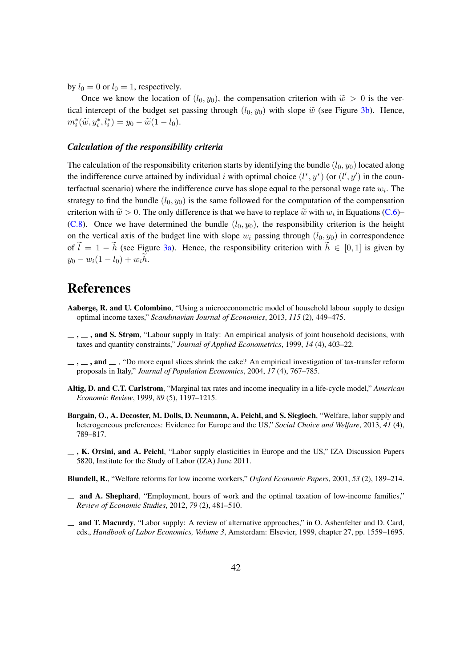by  $l_0 = 0$  or  $l_0 = 1$ , respectively.

Once we know the location of  $(l_0, y_0)$ , the compensation criterion with  $\tilde{w} > 0$  is the vertical intercept of the budget set passing through  $(l_0, y_0)$  with slope  $\tilde{w}$  (see Figure [3b\)](#page-12-1). Hence,  $m_i^*(\tilde{w}, y_i^*, l_i^*) = y_0 - \tilde{w}(1 - l_0).$ 

#### *Calculation of the responsibility criteria*

The calculation of the responsibility criterion starts by identifying the bundle  $(l_0, y_0)$  located along the indifference curve attained by individual i with optimal choice  $(l^*, y^*)$  (or  $(l', y')$  in the counterfactual scenario) where the indifference curve has slope equal to the personal wage rate  $w_i$ . The strategy to find the bundle  $(l_0, y_0)$  is the same followed for the computation of the compensation criterion with  $\tilde{w} > 0$ . The only difference is that we have to replace  $\tilde{w}$  with  $w_i$  in Equations [\(C.6\)](#page-43-0)–<br>(C.8)– Cases we have determined the hardly (*l.* )– the assessment life science is the harded [\(C.8\)](#page-43-1). Once we have determined the bundle  $(l_0, y_0)$ , the responsibility criterion is the height on the vertical axis of the budget line with slope  $w_i$  passing through  $(l_0, y_0)$  in correspondence of  $\tilde{l} = 1 - \tilde{h}$  (see Figure [3a\)](#page-12-1). Hence, the responsibility criterion with  $\tilde{h} \in [0, 1]$  is given by  $y_0 - w_i(1 - l_0) + w_i h.$ 

# References

- <span id="page-44-2"></span>Aaberge, R. and U. Colombino, "Using a microeconometric model of household labour supply to design optimal income taxes," *Scandinavian Journal of Economics*, 2013, *115* (2), 449–475.
- <span id="page-44-7"></span> $\ldots$ ,  $\ldots$ , and S. Strøm, "Labour supply in Italy: An empirical analysis of joint household decisions, with taxes and quantity constraints," *Journal of Applied Econometrics*, 1999, *14* (4), 403–22.
- <span id="page-44-1"></span> $\ldots$ , and  $\ldots$ , "Do more equal slices shrink the cake? An empirical investigation of tax-transfer reform proposals in Italy," *Journal of Population Economics*, 2004, *17* (4), 767–785.
- <span id="page-44-0"></span>Altig, D. and C.T. Carlstrom, "Marginal tax rates and income inequality in a life-cycle model," *American Economic Review*, 1999, *89* (5), 1197–1215.
- <span id="page-44-3"></span>Bargain, O., A. Decoster, M. Dolls, D. Neumann, A. Peichl, and S. Siegloch, "Welfare, labor supply and heterogeneous preferences: Evidence for Europe and the US," *Social Choice and Welfare*, 2013, *41* (4), 789–817.
- <span id="page-44-8"></span> $\overline{K}$ , K. Orsini, and A. Peichl, "Labor supply elasticities in Europe and the US," IZA Discussion Papers 5820, Institute for the Study of Labor (IZA) June 2011.

<span id="page-44-4"></span>Blundell, R., "Welfare reforms for low income workers," *Oxford Economic Papers*, 2001, *53* (2), 189–214.

- <span id="page-44-5"></span>and A. Shephard, "Employment, hours of work and the optimal taxation of low-income families," *Review of Economic Studies*, 2012, *79* (2), 481–510.
- <span id="page-44-6"></span>and T. Macurdy, "Labor supply: A review of alternative approaches," in O. Ashenfelter and D. Card, eds., *Handbook of Labor Economics, Volume 3*, Amsterdam: Elsevier, 1999, chapter 27, pp. 1559–1695.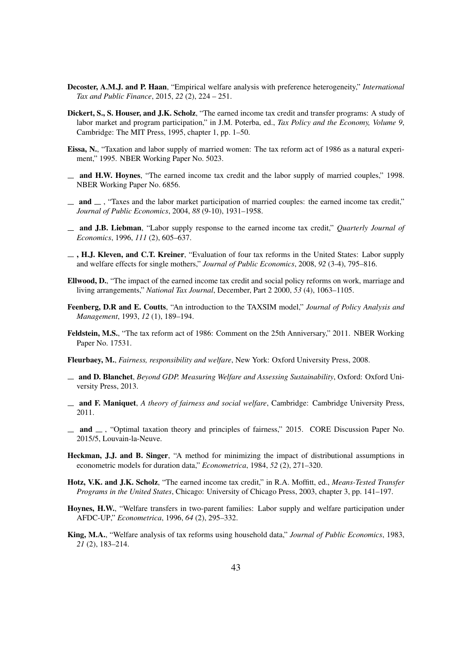- <span id="page-45-7"></span>Decoster, A.M.J. and P. Haan, "Empirical welfare analysis with preference heterogeneity," *International Tax and Public Finance*, 2015, *22* (2), 224 – 251.
- <span id="page-45-1"></span>Dickert, S., S. Houser, and J.K. Scholz, "The earned income tax credit and transfer programs: A study of labor market and program participation," in J.M. Poterba, ed., *Tax Policy and the Economy, Volume 9*, Cambridge: The MIT Press, 1995, chapter 1, pp. 1–50.
- <span id="page-45-17"></span>Eissa, N., "Taxation and labor supply of married women: The tax reform act of 1986 as a natural experiment," 1995. NBER Working Paper No. 5023.
- <span id="page-45-10"></span> $\mu$  and H.W. Hoynes, "The earned income tax credit and the labor supply of married couples," 1998. NBER Working Paper No. 6856.
- <span id="page-45-4"></span> $\Box$  and  $\Box$ , "Taxes and the labor market participation of married couples: the earned income tax credit," *Journal of Public Economics*, 2004, *88* (9-10), 1931–1958.
- <span id="page-45-2"></span>and J.B. Liebman, "Labor supply response to the earned income tax credit," *Quarterly Journal of Economics*, 1996, *111* (2), 605–637.
- <span id="page-45-0"></span> $\Box$ , H.J. Kleven, and C.T. Kreiner, "Evaluation of four tax reforms in the United States: Labor supply and welfare effects for single mothers," *Journal of Public Economics*, 2008, *92* (3-4), 795–816.
- <span id="page-45-3"></span>Ellwood, D., "The impact of the earned income tax credit and social policy reforms on work, marriage and living arrangements," *National Tax Journal*, December, Part 2 2000, *53* (4), 1063–1105.
- <span id="page-45-16"></span>Feenberg, D.R and E. Coutts, "An introduction to the TAXSIM model," *Journal of Policy Analysis and Management*, 1993, *12* (1), 189–194.
- <span id="page-45-8"></span>Feldstein, M.S., "The tax reform act of 1986: Comment on the 25th Anniversary," 2011. NBER Working Paper No. 17531.
- <span id="page-45-11"></span>Fleurbaey, M., *Fairness, responsibility and welfare*, New York: Oxford University Press, 2008.
- <span id="page-45-13"></span>and D. Blanchet, *Beyond GDP. Measuring Welfare and Assessing Sustainability*, Oxford: Oxford University Press, 2013.
- <span id="page-45-6"></span>and F. Maniquet, *A theory of fairness and social welfare*, Cambridge: Cambridge University Press, 2011.
- <span id="page-45-12"></span> $\Box$  and  $\Box$ , "Optimal taxation theory and principles of fairness," 2015. CORE Discussion Paper No. 2015/5, Louvain-la-Neuve.
- <span id="page-45-15"></span>Heckman, J.J. and B. Singer, "A method for minimizing the impact of distributional assumptions in econometric models for duration data," *Econometrica*, 1984, *52* (2), 271–320.
- <span id="page-45-9"></span>Hotz, V.K. and J.K. Scholz, "The earned income tax credit," in R.A. Moffitt, ed., *Means-Tested Transfer Programs in the United States*, Chicago: University of Chicago Press, 2003, chapter 3, pp. 141–197.
- <span id="page-45-14"></span>Hoynes, H.W., "Welfare transfers in two-parent families: Labor supply and welfare participation under AFDC-UP," *Econometrica*, 1996, *64* (2), 295–332.
- <span id="page-45-5"></span>King, M.A., "Welfare analysis of tax reforms using household data," *Journal of Public Economics*, 1983, *21* (2), 183–214.